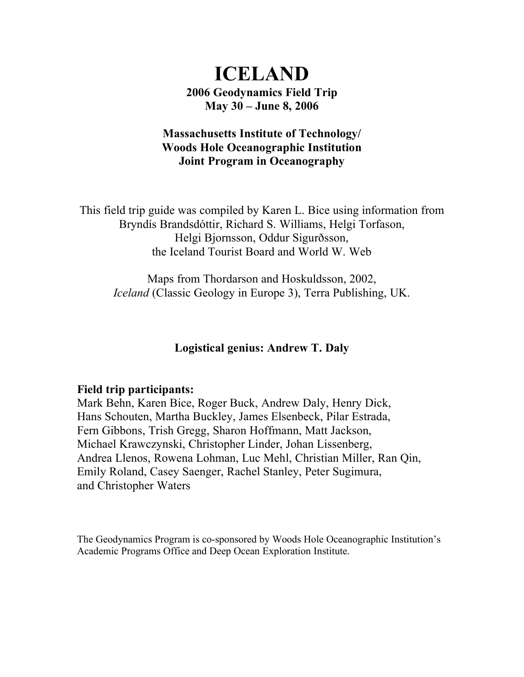# **ICELAND 2006 Geodynamics Field Trip May 30 – June 8, 2006**

# **Massachusetts Institute of Technology/ Woods Hole Oceanographic Institution Joint Program in Oceanography**

This field trip guide was compiled by Karen L. Bice using information from Bryndís Brandsdóttir, Richard S. Williams, Helgi Torfason, Helgi Bjornsson, Oddur Sigurðsson, the Iceland Tourist Board and World W. Web

Maps from Thordarson and Hoskuldsson, 2002, *Iceland* (Classic Geology in Europe 3), Terra Publishing, UK.

## **Logistical genius: Andrew T. Daly**

## **Field trip participants:**

Mark Behn, Karen Bice, Roger Buck, Andrew Daly, Henry Dick, Hans Schouten, Martha Buckley, James Elsenbeck, Pilar Estrada, Fern Gibbons, Trish Gregg, Sharon Hoffmann, Matt Jackson, Michael Krawczynski, Christopher Linder, Johan Lissenberg, Andrea Llenos, Rowena Lohman, Luc Mehl, Christian Miller, Ran Qin, Emily Roland, Casey Saenger, Rachel Stanley, Peter Sugimura, and Christopher Waters

The Geodynamics Program is co-sponsored by Woods Hole Oceanographic Institution's Academic Programs Office and Deep Ocean Exploration Institute.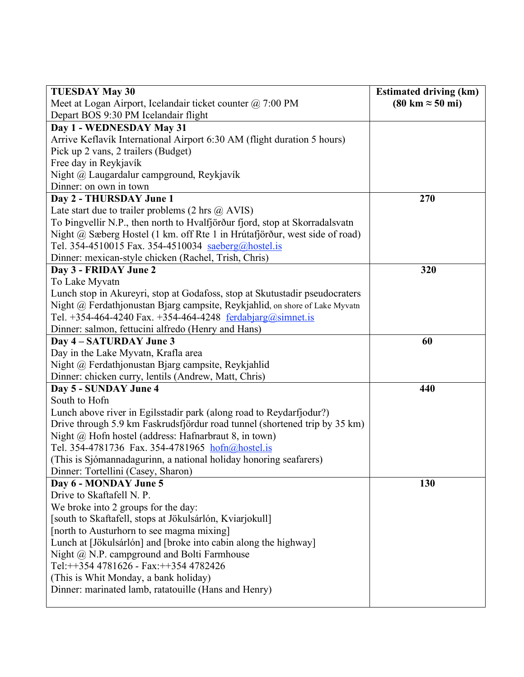| <b>TUESDAY May 30</b>                                                       | <b>Estimated driving (km)</b>           |
|-----------------------------------------------------------------------------|-----------------------------------------|
| Meet at Logan Airport, Icelandair ticket counter @ 7:00 PM                  | $(80 \text{ km} \approx 50 \text{ mi})$ |
| Depart BOS 9:30 PM Icelandair flight                                        |                                         |
| Day 1 - WEDNESDAY May 31                                                    |                                         |
| Arrive Keflavík International Airport 6:30 AM (flight duration 5 hours)     |                                         |
| Pick up 2 vans, 2 trailers (Budget)                                         |                                         |
| Free day in Reykjavík                                                       |                                         |
| Night @ Laugardalur campground, Reykjavík                                   |                                         |
| Dinner: on own in town                                                      |                                         |
| Day 2 - THURSDAY June 1                                                     | 270                                     |
| Late start due to trailer problems $(2 \text{ hrs } @AVIS)$                 |                                         |
| To Þingvellir N.P., then north to Hvalfjörður fjord, stop at Skorradalsvatn |                                         |
| Night @ Sæberg Hostel (1 km. off Rte 1 in Hrútafjörður, west side of road)  |                                         |
| Tel. 354-4510015 Fax. 354-4510034 saeberg@hostel.is                         |                                         |
| Dinner: mexican-style chicken (Rachel, Trish, Chris)                        |                                         |
| Day 3 - FRIDAY June 2                                                       | 320                                     |
| To Lake Myvatn                                                              |                                         |
| Lunch stop in Akureyri, stop at Godafoss, stop at Skutustadir pseudocraters |                                         |
| Night @ Ferdathjonustan Bjarg campsite, Reykjahlid, on shore of Lake Myvatn |                                         |
| Tel. +354-464-4240 Fax. +354-464-4248 ferdabjarg@simnet.is                  |                                         |
| Dinner: salmon, fettucini alfredo (Henry and Hans)                          |                                         |
| Day 4 - SATURDAY June 3                                                     | 60                                      |
| Day in the Lake Myvatn, Krafla area                                         |                                         |
| Night @ Ferdathjonustan Bjarg campsite, Reykjahlid                          |                                         |
| Dinner: chicken curry, lentils (Andrew, Matt, Chris)                        |                                         |
| Day 5 - SUNDAY June 4                                                       | 440                                     |
| South to Hofn                                                               |                                         |
| Lunch above river in Egilsstadir park (along road to Reydarfjodur?)         |                                         |
| Drive through 5.9 km Faskrudsfjördur road tunnel (shortened trip by 35 km)  |                                         |
| Night @ Hofn hostel (address: Hafnarbraut 8, in town)                       |                                         |
| Tel. 354-4781736 Fax. 354-4781965 hofn@hostel.is                            |                                         |
| (This is Sjómannadagurinn, a national holiday honoring seafarers)           |                                         |
| Dinner: Tortellini (Casey, Sharon)                                          |                                         |
| Day 6 - MONDAY June 5                                                       | 130                                     |
| Drive to Skaftafell N. P.                                                   |                                         |
| We broke into 2 groups for the day:                                         |                                         |
| [south to Skaftafell, stops at Jökulsárlón, Kviarjokull]                    |                                         |
| [north to Austurhorn to see magma mixing]                                   |                                         |
| Lunch at [Jökulsárlón] and [broke into cabin along the highway]             |                                         |
| Night $@$ N.P. campground and Bolti Farmhouse                               |                                         |
| Tel:++354 4781626 - Fax:++354 4782426                                       |                                         |
| (This is Whit Monday, a bank holiday)                                       |                                         |
| Dinner: marinated lamb, ratatouille (Hans and Henry)                        |                                         |
|                                                                             |                                         |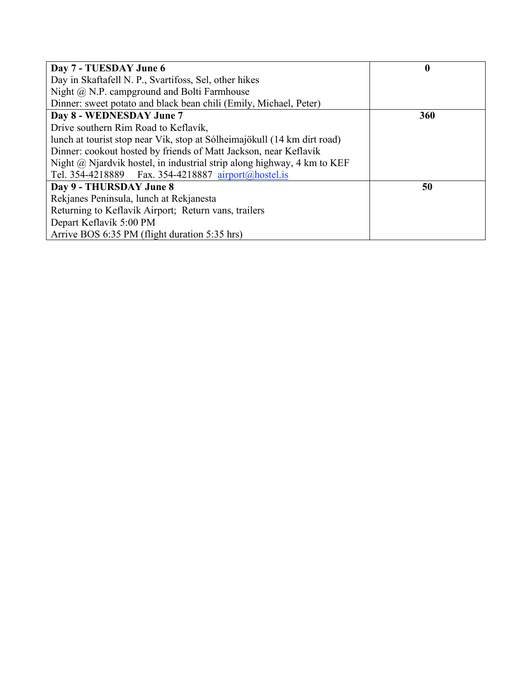| Day 7 - TUESDAY June 6                                                      | $\boldsymbol{0}$ |
|-----------------------------------------------------------------------------|------------------|
| Day in Skaftafell N. P., Svartifoss, Sel, other hikes                       |                  |
| Night $\omega$ N.P. campground and Bolti Farmhouse                          |                  |
| Dinner: sweet potato and black bean chili (Emily, Michael, Peter)           |                  |
| Day 8 - WEDNESDAY June 7                                                    | 360              |
| Drive southern Rim Road to Keflavík,                                        |                  |
| lunch at tourist stop near Vik, stop at Sólheimajökull (14 km dirt road)    |                  |
| Dinner: cookout hosted by friends of Matt Jackson, near Keflavík            |                  |
| Night $(a)$ Njardvik hostel, in industrial strip along highway, 4 km to KEF |                  |
| Tel. 354-4218889  Fax. 354-4218887  airport@hostel.is                       |                  |
| Day 9 - THURSDAY June 8                                                     | 50               |
| Rekjanes Peninsula, lunch at Rekjanesta                                     |                  |
| Returning to Keflavík Airport; Return vans, trailers                        |                  |
| Depart Keflavík 5:00 PM                                                     |                  |
| Arrive BOS 6:35 PM (flight duration 5:35 hrs)                               |                  |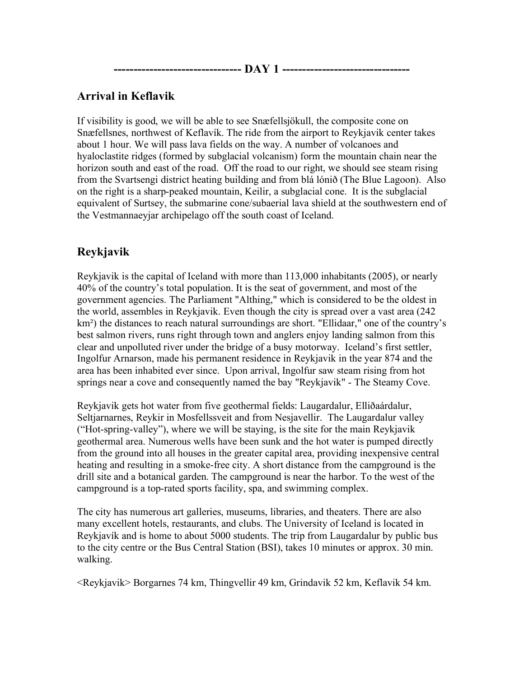**-------------------------------- DAY 1 --------------------------------**

# **Arrival in Keflavik**

If visibility is good, we will be able to see Snæfellsjökull, the composite cone on Snæfellsnes, northwest of Keflavík. The ride from the airport to Reykjavik center takes about 1 hour. We will pass lava fields on the way. A number of volcanoes and hyaloclastite ridges (formed by subglacial volcanism) form the mountain chain near the horizon south and east of the road. Off the road to our right, we should see steam rising from the Svartsengi district heating building and from blá lónið (The Blue Lagoon). Also on the right is a sharp-peaked mountain, Keilir, a subglacial cone. It is the subglacial equivalent of Surtsey, the submarine cone/subaerial lava shield at the southwestern end of the Vestmannaeyjar archipelago off the south coast of Iceland.

# **Reykjavik**

Reykjavik is the capital of Iceland with more than 113,000 inhabitants (2005), or nearly 40% of the country's total population. It is the seat of government, and most of the government agencies. The Parliament "Althing," which is considered to be the oldest in the world, assembles in Reykjavik. Even though the city is spread over a vast area (242 km<sup>2</sup>) the distances to reach natural surroundings are short. "Ellidaar," one of the country's best salmon rivers, runs right through town and anglers enjoy landing salmon from this clear and unpolluted river under the bridge of a busy motorway. Iceland's first settler, Ingolfur Arnarson, made his permanent residence in Reykjavik in the year 874 and the area has been inhabited ever since. Upon arrival, Ingolfur saw steam rising from hot springs near a cove and consequently named the bay "Reykjavik" - The Steamy Cove.

Reykjavik gets hot water from five geothermal fields: Laugardalur, Elliðaárdalur, Seltjarnarnes, Reykir in Mosfellssveit and from Nesjavellir. The Laugardalur valley ("Hot-spring-valley"), where we will be staying, is the site for the main Reykjavik geothermal area. Numerous wells have been sunk and the hot water is pumped directly from the ground into all houses in the greater capital area, providing inexpensive central heating and resulting in a smoke-free city. A short distance from the campground is the drill site and a botanical garden. The campground is near the harbor. To the west of the campground is a top-rated sports facility, spa, and swimming complex.

The city has numerous art galleries, museums, libraries, and theaters. There are also many excellent hotels, restaurants, and clubs. The University of Iceland is located in Reykjavík and is home to about 5000 students. The trip from Laugardalur by public bus to the city centre or the Bus Central Station (BSI), takes 10 minutes or approx. 30 min. walking.

<Reykjavik> Borgarnes 74 km, Thingvellir 49 km, Grindavik 52 km, Keflavik 54 km.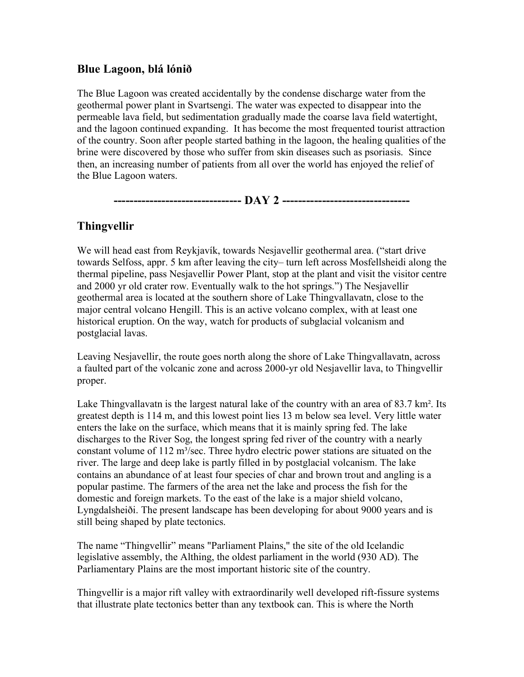## **Blue Lagoon, blá lónið**

The Blue Lagoon was created accidentally by the condense discharge water from the geothermal power plant in Svartsengi. The water was expected to disappear into the permeable lava field, but sedimentation gradually made the coarse lava field watertight, and the lagoon continued expanding. It has become the most frequented tourist attraction of the country. Soon after people started bathing in the lagoon, the healing qualities of the brine were discovered by those who suffer from skin diseases such as psoriasis. Since then, an increasing number of patients from all over the world has enjoyed the relief of the Blue Lagoon waters.

**-------------------------------- DAY 2 --------------------------------**

# **Thingvellir**

We will head east from Reykjavík, towards Nesjavellir geothermal area. ("start drive towards Selfoss, appr. 5 km after leaving the city– turn left across Mosfellsheidi along the thermal pipeline, pass Nesjavellir Power Plant, stop at the plant and visit the visitor centre and 2000 yr old crater row. Eventually walk to the hot springs.") The Nesjavellir geothermal area is located at the southern shore of Lake Thingvallavatn, close to the major central volcano Hengill. This is an active volcano complex, with at least one historical eruption. On the way, watch for products of subglacial volcanism and postglacial lavas.

Leaving Nesjavellir, the route goes north along the shore of Lake Thingvallavatn, across a faulted part of the volcanic zone and across 2000-yr old Nesjavellir lava, to Thingvellir proper.

Lake Thingvallavatn is the largest natural lake of the country with an area of 83.7 km<sup>2</sup>. Its greatest depth is 114 m, and this lowest point lies 13 m below sea level. Very little water enters the lake on the surface, which means that it is mainly spring fed. The lake discharges to the River Sog, the longest spring fed river of the country with a nearly constant volume of 112 m<sup>3</sup>/sec. Three hydro electric power stations are situated on the river. The large and deep lake is partly filled in by postglacial volcanism. The lake contains an abundance of at least four species of char and brown trout and angling is a popular pastime. The farmers of the area net the lake and process the fish for the domestic and foreign markets. To the east of the lake is a major shield volcano, Lyngdalsheiði. The present landscape has been developing for about 9000 years and is still being shaped by plate tectonics.

The name "Thingvellir" means "Parliament Plains," the site of the old Icelandic legislative assembly, the Althing, the oldest parliament in the world (930 AD). The Parliamentary Plains are the most important historic site of the country.

Thingvellir is a major rift valley with extraordinarily well developed rift-fissure systems that illustrate plate tectonics better than any textbook can. This is where the North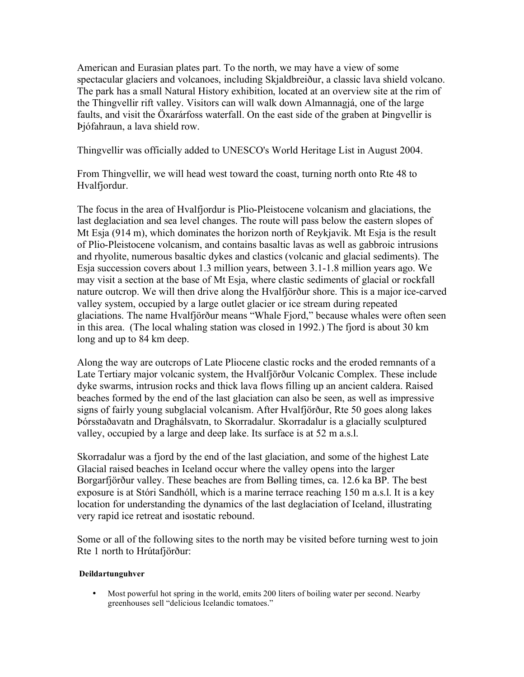American and Eurasian plates part. To the north, we may have a view of some spectacular glaciers and volcanoes, including Skjaldbreiður, a classic lava shield volcano. The park has a small Natural History exhibition, located at an overview site at the rim of the Thingvellir rift valley. Visitors can will walk down Almannagjá, one of the large faults, and visit the Öxarárfoss waterfall. On the east side of the graben at Þingvellir is Þjófahraun, a lava shield row.

Thingvellir was officially added to UNESCO's World Heritage List in August 2004.

From Thingvellir, we will head west toward the coast, turning north onto Rte 48 to Hvalfjordur.

The focus in the area of Hvalfjordur is Plio-Pleistocene volcanism and glaciations, the last deglaciation and sea level changes. The route will pass below the eastern slopes of Mt Esja (914 m), which dominates the horizon north of Reykjavik. Mt Esja is the result of Plio-Pleistocene volcanism, and contains basaltic lavas as well as gabbroic intrusions and rhyolite, numerous basaltic dykes and clastics (volcanic and glacial sediments). The Esja succession covers about 1.3 million years, between 3.1-1.8 million years ago. We may visit a section at the base of Mt Esja, where clastic sediments of glacial or rockfall nature outcrop. We will then drive along the Hvalfjörður shore. This is a major ice-carved valley system, occupied by a large outlet glacier or ice stream during repeated glaciations. The name Hvalfjörður means "Whale Fjord," because whales were often seen in this area. (The local whaling station was closed in 1992.) The fjord is about 30 km long and up to 84 km deep.

Along the way are outcrops of Late Pliocene clastic rocks and the eroded remnants of a Late Tertiary major volcanic system, the Hvalfjörður Volcanic Complex. These include dyke swarms, intrusion rocks and thick lava flows filling up an ancient caldera. Raised beaches formed by the end of the last glaciation can also be seen, as well as impressive signs of fairly young subglacial volcanism. After Hvalfjörður, Rte 50 goes along lakes Þórsstaðavatn and Draghálsvatn, to Skorradalur. Skorradalur is a glacially sculptured valley, occupied by a large and deep lake. Its surface is at 52 m a.s.l.

Skorradalur was a fjord by the end of the last glaciation, and some of the highest Late Glacial raised beaches in Iceland occur where the valley opens into the larger Borgarfjörður valley. These beaches are from Bølling times, ca. 12.6 ka BP. The best exposure is at Stóri Sandhóll, which is a marine terrace reaching 150 m a.s.l. It is a key location for understanding the dynamics of the last deglaciation of Iceland, illustrating very rapid ice retreat and isostatic rebound.

Some or all of the following sites to the north may be visited before turning west to join Rte 1 north to Hrútafjörður:

## **Deildartunguhver**

• Most powerful hot spring in the world, emits 200 liters of boiling water per second. Nearby greenhouses sell "delicious Icelandic tomatoes."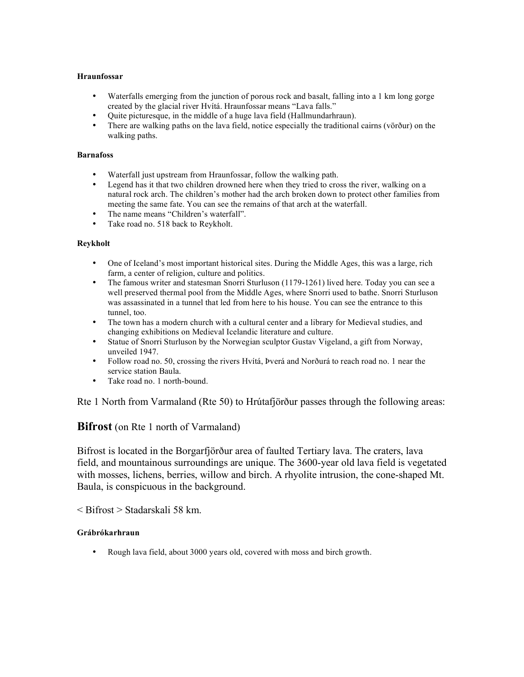#### **Hraunfossar**

- Waterfalls emerging from the junction of porous rock and basalt, falling into a 1 km long gorge created by the glacial river Hvítá. Hraunfossar means "Lava falls."
- Quite picturesque, in the middle of a huge lava field (Hallmundarhraun).
- There are walking paths on the lava field, notice especially the traditional cairns (vörður) on the walking paths.

#### **Barnafoss**

- Waterfall just upstream from Hraunfossar, follow the walking path.
- Legend has it that two children drowned here when they tried to cross the river, walking on a natural rock arch. The children's mother had the arch broken down to protect other families from meeting the same fate. You can see the remains of that arch at the waterfall.
- The name means "Children's waterfall".
- Take road no. 518 back to Reykholt.

#### **Reykholt**

- One of Iceland's most important historical sites. During the Middle Ages, this was a large, rich farm, a center of religion, culture and politics.
- The famous writer and statesman Snorri Sturluson (1179-1261) lived here. Today you can see a well preserved thermal pool from the Middle Ages, where Snorri used to bathe. Snorri Sturluson was assassinated in a tunnel that led from here to his house. You can see the entrance to this tunnel, too.
- The town has a modern church with a cultural center and a library for Medieval studies, and changing exhibitions on Medieval Icelandic literature and culture.
- Statue of Snorri Sturluson by the Norwegian sculptor Gustav Vigeland, a gift from Norway, unveiled 1947.
- Follow road no. 50, crossing the rivers Hvítá, Þverá and Norðurá to reach road no. 1 near the service station Baula.
- Take road no. 1 north-bound.

Rte 1 North from Varmaland (Rte 50) to Hrútafjörður passes through the following areas:

## **Bifrost** (on Rte 1 north of Varmaland)

Bifrost is located in the Borgarfjörður area of faulted Tertiary lava. The craters, lava field, and mountainous surroundings are unique. The 3600-year old lava field is vegetated with mosses, lichens, berries, willow and birch. A rhyolite intrusion, the cone-shaped Mt. Baula, is conspicuous in the background.

< Bifrost > Stadarskali 58 km.

#### **Grábrókarhraun**

• Rough lava field, about 3000 years old, covered with moss and birch growth.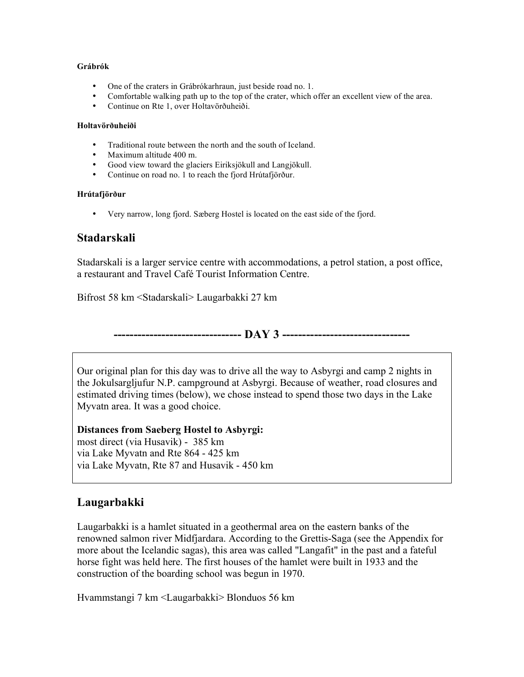#### **Grábrók**

- One of the craters in Grábrókarhraun, just beside road no. 1.
- Comfortable walking path up to the top of the crater, which offer an excellent view of the area.
- Continue on Rte 1, over Holtavörðuheiði.

#### **Holtavörðuheiði**

- Traditional route between the north and the south of Iceland.
- Maximum altitude 400 m.
- Good view toward the glaciers Eiriksjökull and Langjökull.
- Continue on road no. 1 to reach the fjord Hrútafjörður.

#### **Hrútafjörður**

• Very narrow, long fjord. Sæberg Hostel is located on the east side of the fjord.

## **Stadarskali**

Stadarskali is a larger service centre with accommodations, a petrol station, a post office, a restaurant and Travel Café Tourist Information Centre.

Bifrost 58 km <Stadarskali> Laugarbakki 27 km

**-------------------------------- DAY 3 --------------------------------**

Our original plan for this day was to drive all the way to Asbyrgi and camp 2 nights in the Jokulsargljufur N.P. campground at Asbyrgi. Because of weather, road closures and estimated driving times (below), we chose instead to spend those two days in the Lake Myvatn area. It was a good choice.

**Distances from Saeberg Hostel to Asbyrgi:** most direct (via Husavik) - 385 km via Lake Myvatn and Rte 864 - 425 km via Lake Myvatn, Rte 87 and Husavik - 450 km

# **Laugarbakki**

Laugarbakki is a hamlet situated in a geothermal area on the eastern banks of the renowned salmon river Midfjardara. According to the Grettis-Saga (see the Appendix for more about the Icelandic sagas), this area was called "Langafit" in the past and a fateful horse fight was held here. The first houses of the hamlet were built in 1933 and the construction of the boarding school was begun in 1970.

Hvammstangi 7 km <Laugarbakki> Blonduos 56 km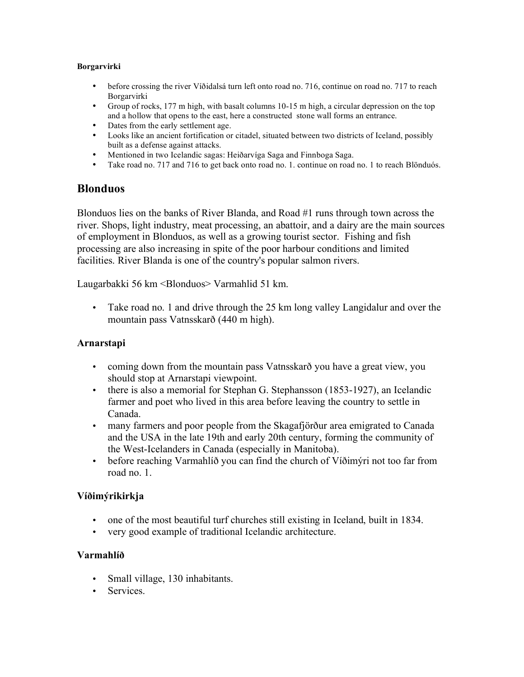### **Borgarvirki**

- before crossing the river Víðidalsá turn left onto road no. 716, continue on road no. 717 to reach Borgarvirki
- Group of rocks, 177 m high, with basalt columns 10-15 m high, a circular depression on the top and a hollow that opens to the east, here a constructed stone wall forms an entrance.
- Dates from the early settlement age.
- Looks like an ancient fortification or citadel, situated between two districts of Iceland, possibly built as a defense against attacks.
- Mentioned in two Icelandic sagas: Heiðarvíga Saga and Finnboga Saga.<br>• Take road no. 717 and 716 to get back onto road no. 1. continue on road
- Take road no. 717 and 716 to get back onto road no. 1. continue on road no. 1 to reach Blönduós.

## **Blonduos**

Blonduos lies on the banks of River Blanda, and Road #1 runs through town across the river. Shops, light industry, meat processing, an abattoir, and a dairy are the main sources of employment in Blonduos, as well as a growing tourist sector. Fishing and fish processing are also increasing in spite of the poor harbour conditions and limited facilities. River Blanda is one of the country's popular salmon rivers.

Laugarbakki 56 km <Blonduos> Varmahlid 51 km.

• Take road no. 1 and drive through the 25 km long valley Langidalur and over the mountain pass Vatnsskarð (440 m high).

## **Arnarstapi**

- coming down from the mountain pass Vatnsskarð you have a great view, you should stop at Arnarstapi viewpoint.
- there is also a memorial for Stephan G. Stephansson (1853-1927), an Icelandic farmer and poet who lived in this area before leaving the country to settle in Canada.
- many farmers and poor people from the Skagafjörður area emigrated to Canada and the USA in the late 19th and early 20th century, forming the community of the West-Icelanders in Canada (especially in Manitoba).
- before reaching Varmahlíð you can find the church of Víðimýri not too far from road no. 1.

## **Víðimýrikirkja**

- one of the most beautiful turf churches still existing in Iceland, built in 1834.
- very good example of traditional Icelandic architecture.

## **Varmahlíð**

- Small village, 130 inhabitants.
- Services.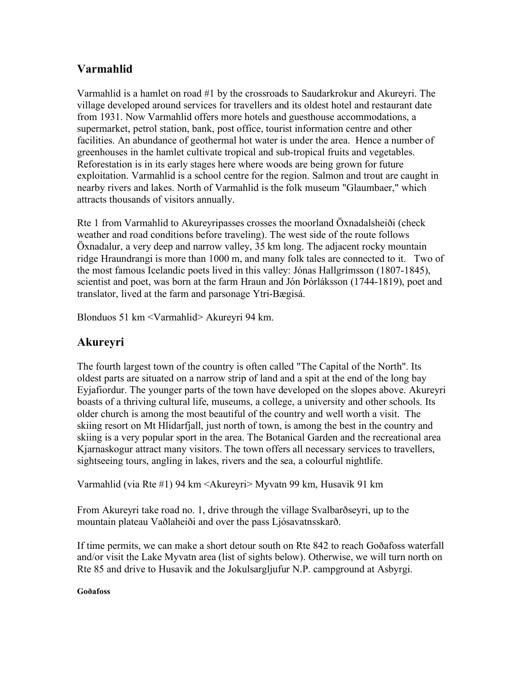# **Varmahlid**

Varmahlid is a hamlet on road #1 by the crossroads to Saudarkrokur and Akureyri. The village developed around services for travellers and its oldest hotel and restaurant date from 1931. Now Varmahlid offers more hotels and guesthouse accommodations, a supermarket, petrol station, bank, post office, tourist information centre and other facilities. An abundance of geothermal hot water is under the area. Hence a number of greenhouses in the hamlet cultivate tropical and sub-tropical fruits and vegetables. Reforestation is in its early stages here where woods are being grown for future exploitation. Varmahlid is a school centre for the region. Salmon and trout are caught in nearby rivers and lakes. North of Varmahlid is the folk museum "Glaumbaer," which attracts thousands of visitors annually.

Rte 1 from Varmahlid to Akureyripasses crosses the moorland Öxnadalsheiði (check weather and road conditions before traveling). The west side of the route follows Öxnadalur, a very deep and narrow valley, 35 km long. The adjacent rocky mountain ridge Hraundrangi is more than 1000 m, and many folk tales are connected to it. Two of the most famous Icelandic poets lived in this valley: Jónas Hallgrímsson (1807-1845), scientist and poet, was born at the farm Hraun and Jón Þórláksson (1744-1819), poet and translator, lived at the farm and parsonage Ytri-Bægisá.

Blonduos 51 km <Varmahlid> Akureyri 94 km.

# **Akureyri**

The fourth largest town of the country is often called "The Capital of the North". Its oldest parts are situated on a narrow strip of land and a spit at the end of the long bay Eyjafiordur. The younger parts of the town have developed on the slopes above. Akureyri boasts of a thriving cultural life, museums, a college, a university and other schools. Its older church is among the most beautiful of the country and well worth a visit. The skiing resort on Mt Hlidarfjall, just north of town, is among the best in the country and skiing is a very popular sport in the area. The Botanical Garden and the recreational area Kjarnaskogur attract many visitors. The town offers all necessary services to travellers, sightseeing tours, angling in lakes, rivers and the sea, a colourful nightlife.

Varmahlid (via Rte #1) 94 km <Akureyri> Myvatn 99 km, Husavik 91 km

From Akureyri take road no. 1, drive through the village Svalbarðseyri, up to the mountain plateau Vaðlaheiði and over the pass Ljósavatnsskarð.

If time permits, we can make a short detour south on Rte 842 to reach Goðafoss waterfall and/or visit the Lake Myvatn area (list of sights below). Otherwise, we will turn north on Rte 85 and drive to Husavik and the Jokulsargljufur N.P. campground at Asbyrgi.

## **Goðafoss**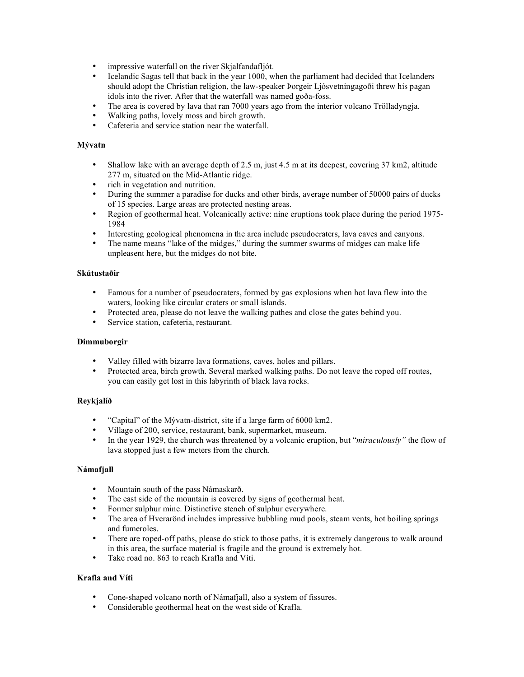- impressive waterfall on the river Skjalfandafljót.
- Icelandic Sagas tell that back in the year 1000, when the parliament had decided that Icelanders should adopt the Christian religion, the law-speaker Þorgeir Ljósvetningagoði threw his pagan idols into the river. After that the waterfall was named goða-foss.
- The area is covered by lava that ran 7000 years ago from the interior volcano Trölladyngja.
- Walking paths, lovely moss and birch growth.
- Cafeteria and service station near the waterfall.

#### **Mývatn**

- Shallow lake with an average depth of 2.5 m, just 4.5 m at its deepest, covering 37 km2, altitude 277 m, situated on the Mid-Atlantic ridge.
- rich in vegetation and nutrition.
- During the summer a paradise for ducks and other birds, average number of 50000 pairs of ducks of 15 species. Large areas are protected nesting areas.
- Region of geothermal heat. Volcanically active: nine eruptions took place during the period 1975- 1984
- Interesting geological phenomena in the area include pseudocraters, lava caves and canyons.
- The name means "lake of the midges," during the summer swarms of midges can make life unpleasent here, but the midges do not bite.

#### **Skútustaðir**

- Famous for a number of pseudocraters, formed by gas explosions when hot lava flew into the waters, looking like circular craters or small islands.
- Protected area, please do not leave the walking pathes and close the gates behind you.
- Service station, cafeteria, restaurant.

#### **Dimmuborgir**

- Valley filled with bizarre lava formations, caves, holes and pillars.
- Protected area, birch growth. Several marked walking paths. Do not leave the roped off routes, you can easily get lost in this labyrinth of black lava rocks.

#### **Reykjalíð**

- "Capital" of the Mývatn-district, site if a large farm of 6000 km2.
- Village of 200, service, restaurant, bank, supermarket, museum.
- In the year 1929, the church was threatened by a volcanic eruption, but "*miraculously"* the flow of lava stopped just a few meters from the church.

#### **Námafjall**

- Mountain south of the pass Námaskarð.
- The east side of the mountain is covered by signs of geothermal heat.
- Former sulphur mine. Distinctive stench of sulphur everywhere.
- The area of Hverarönd includes impressive bubbling mud pools, steam vents, hot boiling springs and fumeroles.
- There are roped-off paths, please do stick to those paths, it is extremely dangerous to walk around in this area, the surface material is fragile and the ground is extremely hot.
- Take road no. 863 to reach Krafla and Víti.

#### **Krafla and Víti**

- Cone-shaped volcano north of Námafjall, also a system of fissures.
- Considerable geothermal heat on the west side of Krafla.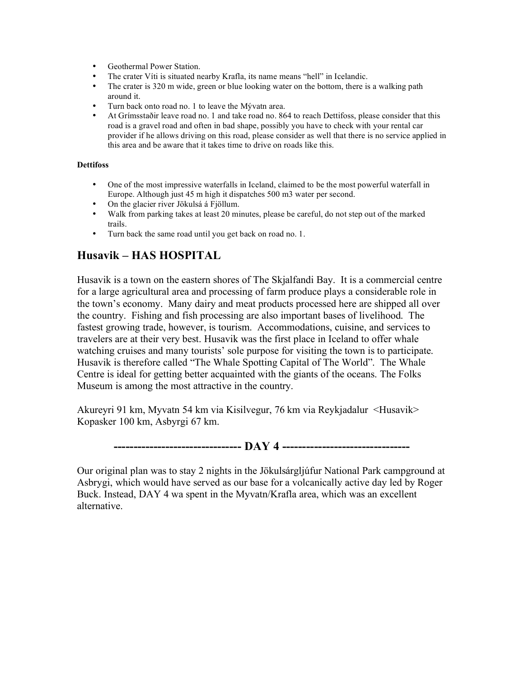- Geothermal Power Station.
- The crater Víti is situated nearby Krafla, its name means "hell" in Icelandic.
- The crater is 320 m wide, green or blue looking water on the bottom, there is a walking path around it.
- Turn back onto road no. 1 to leave the Mývatn area.
- At Grímsstaðir leave road no. 1 and take road no. 864 to reach Dettifoss, please consider that this road is a gravel road and often in bad shape, possibly you have to check with your rental car provider if he allows driving on this road, please consider as well that there is no service applied in this area and be aware that it takes time to drive on roads like this.

#### **Dettifoss**

- One of the most impressive waterfalls in Iceland, claimed to be the most powerful waterfall in Europe. Although just 45 m high it dispatches 500 m3 water per second.
- On the glacier river Jökulsá á Fjöllum.
- Walk from parking takes at least 20 minutes, please be careful, do not step out of the marked trails.
- Turn back the same road until you get back on road no. 1.

# **Husavik – HAS HOSPITAL**

Husavik is a town on the eastern shores of The Skjalfandi Bay. It is a commercial centre for a large agricultural area and processing of farm produce plays a considerable role in the town's economy. Many dairy and meat products processed here are shipped all over the country. Fishing and fish processing are also important bases of livelihood. The fastest growing trade, however, is tourism. Accommodations, cuisine, and services to travelers are at their very best. Husavik was the first place in Iceland to offer whale watching cruises and many tourists' sole purpose for visiting the town is to participate. Husavik is therefore called "The Whale Spotting Capital of The World". The Whale Centre is ideal for getting better acquainted with the giants of the oceans. The Folks Museum is among the most attractive in the country.

Akureyri 91 km, Myvatn 54 km via Kisilvegur, 76 km via Reykjadalur <Husavik> Kopasker 100 km, Asbyrgi 67 km.

**-------------------------------- DAY 4 --------------------------------**

Our original plan was to stay 2 nights in the Jökulsárgljúfur National Park campground at Asbrygi, which would have served as our base for a volcanically active day led by Roger Buck. Instead, DAY 4 wa spent in the Myvatn/Krafla area, which was an excellent alternative.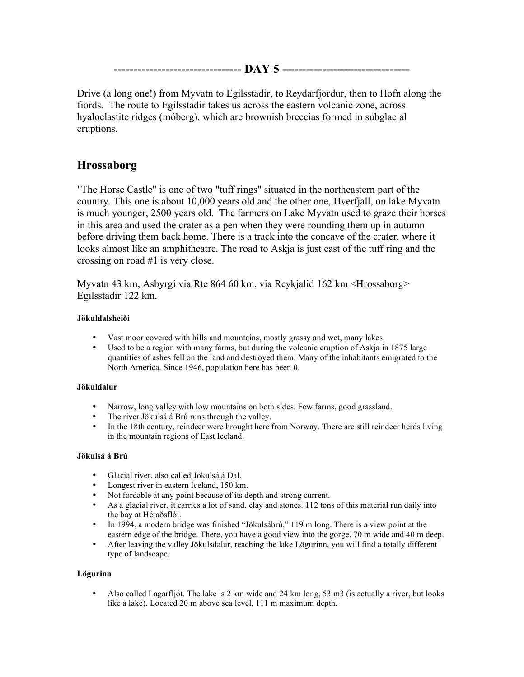**-------------------------------- DAY 5 --------------------------------**

Drive (a long one!) from Myvatn to Egilsstadir, to Reydarfjordur, then to Hofn along the fiords. The route to Egilsstadir takes us across the eastern volcanic zone, across hyaloclastite ridges (móberg), which are brownish breccias formed in subglacial eruptions.

# **Hrossaborg**

"The Horse Castle" is one of two "tuff rings" situated in the northeastern part of the country. This one is about 10,000 years old and the other one, Hverfjall, on lake Myvatn is much younger, 2500 years old. The farmers on Lake Myvatn used to graze their horses in this area and used the crater as a pen when they were rounding them up in autumn before driving them back home. There is a track into the concave of the crater, where it looks almost like an amphitheatre. The road to Askja is just east of the tuff ring and the crossing on road #1 is very close.

Myvatn 43 km, Asbyrgi via Rte 864 60 km, via Reykjalid 162 km <Hrossaborg> Egilsstadir 122 km.

## **Jökuldalsheiði**

- Vast moor covered with hills and mountains, mostly grassy and wet, many lakes.
- Used to be a region with many farms, but during the volcanic eruption of Askja in 1875 large quantities of ashes fell on the land and destroyed them. Many of the inhabitants emigrated to the North America. Since 1946, population here has been 0.

## **Jökuldalur**

- Narrow, long valley with low mountains on both sides. Few farms, good grassland.
- The river Jökulsá á Brú runs through the valley.
- In the 18th century, reindeer were brought here from Norway. There are still reindeer herds living in the mountain regions of East Iceland.

## **Jökulsá á Brú**

- Glacial river, also called Jökulsá á Dal.
- Longest river in eastern Iceland, 150 km.
- Not fordable at any point because of its depth and strong current.
- As a glacial river, it carries a lot of sand, clay and stones. 112 tons of this material run daily into the bay at Héraðsflói.
- In 1994, a modern bridge was finished "Jökulsábrú," 119 m long. There is a view point at the eastern edge of the bridge. There, you have a good view into the gorge, 70 m wide and 40 m deep.
- After leaving the valley Jökulsdalur, reaching the lake Lögurinn, you will find a totally different type of landscape.

## **Lögurinn**

• Also called Lagarfljót. The lake is 2 km wide and 24 km long, 53 m3 (is actually a river, but looks like a lake). Located 20 m above sea level, 111 m maximum depth.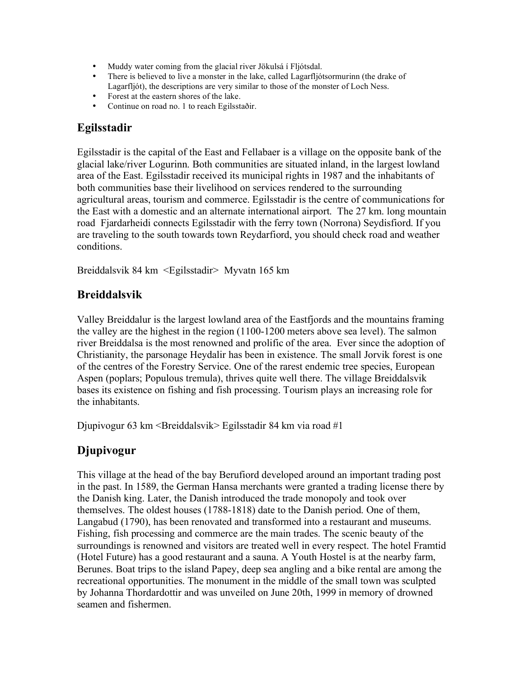- Muddy water coming from the glacial river Jökulsá í Fljótsdal.
- There is believed to live a monster in the lake, called Lagarfljótsormurinn (the drake of Lagarfljót), the descriptions are very similar to those of the monster of Loch Ness.
- Forest at the eastern shores of the lake.
- Continue on road no. 1 to reach Egilsstaðir.

## **Egilsstadir**

Egilsstadir is the capital of the East and Fellabaer is a village on the opposite bank of the glacial lake/river Logurinn. Both communities are situated inland, in the largest lowland area of the East. Egilsstadir received its municipal rights in 1987 and the inhabitants of both communities base their livelihood on services rendered to the surrounding agricultural areas, tourism and commerce. Egilsstadir is the centre of communications for the East with a domestic and an alternate international airport. The 27 km. long mountain road Fjardarheidi connects Egilsstadir with the ferry town (Norrona) Seydisfiord. If you are traveling to the south towards town Reydarfiord, you should check road and weather conditions.

Breiddalsvik 84 km <Egilsstadir> Myvatn 165 km

# **Breiddalsvik**

Valley Breiddalur is the largest lowland area of the Eastfjords and the mountains framing the valley are the highest in the region (1100-1200 meters above sea level). The salmon river Breiddalsa is the most renowned and prolific of the area. Ever since the adoption of Christianity, the parsonage Heydalir has been in existence. The small Jorvik forest is one of the centres of the Forestry Service. One of the rarest endemic tree species, European Aspen (poplars; Populous tremula), thrives quite well there. The village Breiddalsvik bases its existence on fishing and fish processing. Tourism plays an increasing role for the inhabitants.

Djupivogur 63 km <Breiddalsvik> Egilsstadir 84 km via road #1

# **Djupivogur**

This village at the head of the bay Berufiord developed around an important trading post in the past. In 1589, the German Hansa merchants were granted a trading license there by the Danish king. Later, the Danish introduced the trade monopoly and took over themselves. The oldest houses (1788-1818) date to the Danish period. One of them, Langabud (1790), has been renovated and transformed into a restaurant and museums. Fishing, fish processing and commerce are the main trades. The scenic beauty of the surroundings is renowned and visitors are treated well in every respect. The hotel Framtid (Hotel Future) has a good restaurant and a sauna. A Youth Hostel is at the nearby farm, Berunes. Boat trips to the island Papey, deep sea angling and a bike rental are among the recreational opportunities. The monument in the middle of the small town was sculpted by Johanna Thordardottir and was unveiled on June 20th, 1999 in memory of drowned seamen and fishermen.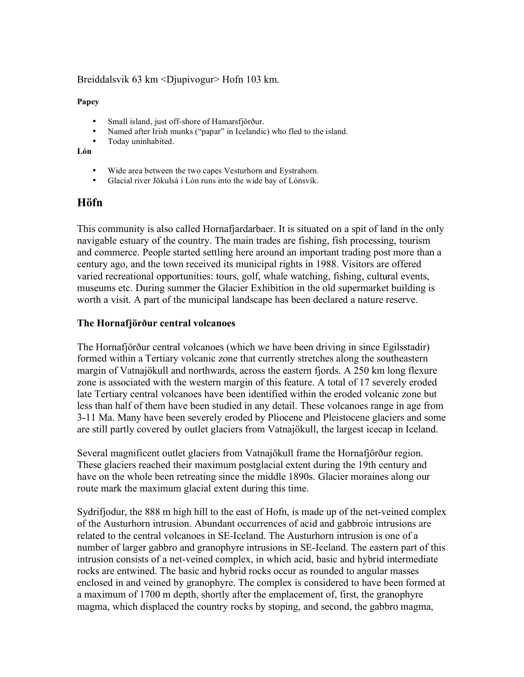## Breiddalsvik 63 km <Djupivogur> Hofn 103 km.

**Papey**

- Small island, just off-shore of Hamarsfjörður.
- Named after Irish munks ("papar" in Icelandic) who fled to the island.
- Today uninhabited.

**Lón**

- Wide area between the two capes Vesturhorn and Eystrahorn.
- Glacial river Jökulsá í Lón runs into the wide bay of Lónsvík.

## **Höfn**

This community is also called Hornafjardarbaer. It is situated on a spit of land in the only navigable estuary of the country. The main trades are fishing, fish processing, tourism and commerce. People started settling here around an important trading post more than a century ago, and the town received its municipal rights in 1988. Visitors are offered varied recreational opportunities: tours, golf, whale watching, fishing, cultural events, museums etc. During summer the Glacier Exhibition in the old supermarket building is worth a visit. A part of the municipal landscape has been declared a nature reserve.

## **The Hornafjörður central volcanoes**

The Hornafjörður central volcanoes (which we have been driving in since Egilsstadir) formed within a Tertiary volcanic zone that currently stretches along the southeastern margin of Vatnajökull and northwards, across the eastern fjords. A 250 km long flexure zone is associated with the western margin of this feature. A total of 17 severely eroded late Tertiary central volcanoes have been identified within the eroded volcanic zone but less than half of them have been studied in any detail. These volcanoes range in age from 3-11 Ma. Many have been severely eroded by Pliocene and Pleistocene glaciers and some are still partly covered by outlet glaciers from Vatnajökull, the largest icecap in Iceland.

Several magnificent outlet glaciers from Vatnajökull frame the Hornafjörður region. These glaciers reached their maximum postglacial extent during the 19th century and have on the whole been retreating since the middle 1890s. Glacier moraines along our route mark the maximum glacial extent during this time.

Sydrifjodur, the 888 m high hill to the east of Hofn, is made up of the net-veined complex of the Austurhorn intrusion. Abundant occurrences of acid and gabbroic intrusions are related to the central volcanoes in SE-Iceland. The Austurhorn intrusion is one of a number of larger gabbro and granophyre intrusions in SE-Iceland. The eastern part of this intrusion consists of a net-veined complex, in which acid, basic and hybrid intermediate rocks are entwined. The basic and hybrid rocks occur as rounded to angular masses enclosed in and veined by granophyre. The complex is considered to have been formed at a maximum of 1700 m depth, shortly after the emplacement of, first, the granophyre magma, which displaced the country rocks by stoping, and second, the gabbro magma,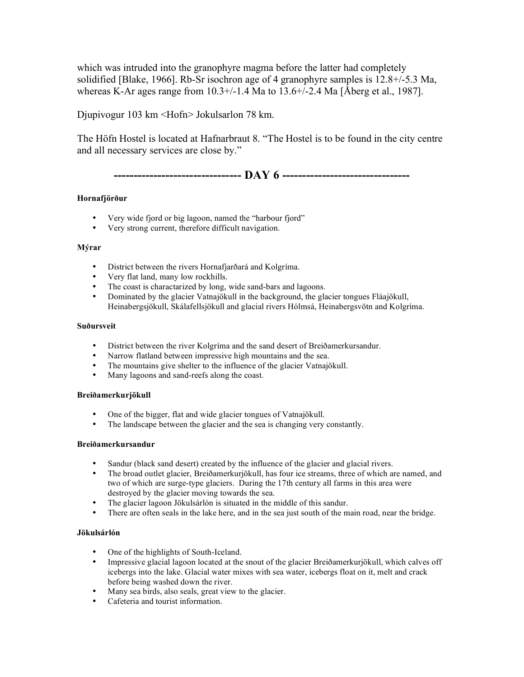which was intruded into the granophyre magma before the latter had completely solidified [Blake, 1966]. Rb-Sr isochron age of 4 granophyre samples is 12.8+/-5.3 Ma, whereas K-Ar ages range from 10.3+/-1.4 Ma to 13.6+/-2.4 Ma [Åberg et al., 1987].

Djupivogur 103 km <Hofn> Jokulsarlon 78 km.

The Höfn Hostel is located at Hafnarbraut 8. "The Hostel is to be found in the city centre and all necessary services are close by."

**-------------------------------- DAY 6 --------------------------------**

#### **Hornafjörður**

- Very wide fjord or big lagoon, named the "harbour fjord"
- Very strong current, therefore difficult navigation.

#### **Mýrar**

- District between the rivers Hornafjarðará and Kolgríma.
- Very flat land, many low rockhills.
- The coast is charactarized by long, wide sand-bars and lagoons.
- Dominated by the glacier Vatnajökull in the background, the glacier tongues Fláajökull, Heinabergsjökull, Skálafellsjökull and glacial rivers Hólmsá, Heinabergsvötn and Kolgríma.

#### **Suðursveit**

- District between the river Kolgríma and the sand desert of Breiðamerkursandur.
- Narrow flatland between impressive high mountains and the sea.
- The mountains give shelter to the influence of the glacier Vatnajökull.<br>• Many lagoons and sand-reefs along the coast
- Many lagoons and sand-reefs along the coast.

#### **Breiðamerkurjökull**

- One of the bigger, flat and wide glacier tongues of Vatnajökull.
- The landscape between the glacier and the sea is changing very constantly.

#### **Breiðamerkursandur**

- Sandur (black sand desert) created by the influence of the glacier and glacial rivers.<br>• The broad outlet glacier. Breiðamerkuriðkull, has four ice streams, three of which an
- The broad outlet glacier, Breiðamerkurjökull, has four ice streams, three of which are named, and two of which are surge-type glaciers. During the 17th century all farms in this area were destroyed by the glacier moving towards the sea.
- The glacier lagoon Jökulsárlón is situated in the middle of this sandur.
- There are often seals in the lake here, and in the sea just south of the main road, near the bridge.

#### **Jökulsárlón**

- One of the highlights of South-Iceland.
- Impressive glacial lagoon located at the snout of the glacier Breiðamerkurjökull, which calves off icebergs into the lake. Glacial water mixes with sea water, icebergs float on it, melt and crack before being washed down the river.
- Many sea birds, also seals, great view to the glacier.
- Cafeteria and tourist information.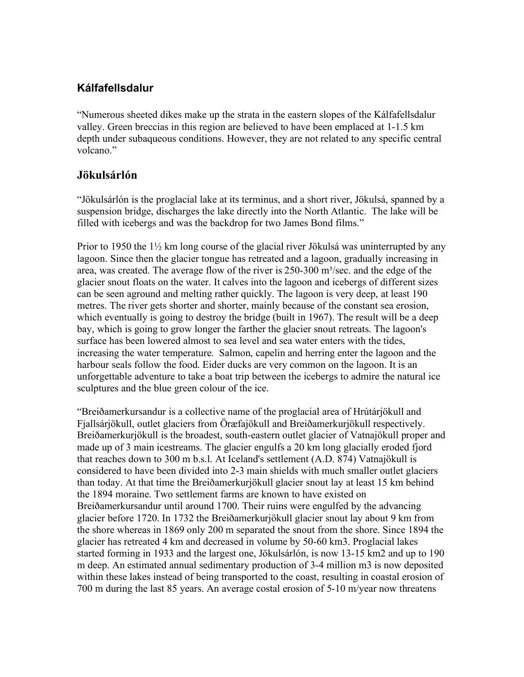# **Kálfafellsdalur**

"Numerous sheeted dikes make up the strata in the eastern slopes of the Kálfafellsdalur valley. Green breccias in this region are believed to have been emplaced at 1-1.5 km depth under subaqueous conditions. However, they are not related to any specific central volcano."

# **Jökulsárlón**

"Jökulsárlón is the proglacial lake at its terminus, and a short river, Jökulsá, spanned by a suspension bridge, discharges the lake directly into the North Atlantic. The lake will be filled with icebergs and was the backdrop for two James Bond films."

Prior to 1950 the 1½ km long course of the glacial river Jökulsá was uninterrupted by any lagoon. Since then the glacier tongue has retreated and a lagoon, gradually increasing in area, was created. The average flow of the river is  $250-300$  m<sup>3</sup>/sec. and the edge of the glacier snout floats on the water. It calves into the lagoon and icebergs of different sizes can be seen aground and melting rather quickly. The lagoon is very deep, at least 190 metres. The river gets shorter and shorter, mainly because of the constant sea erosion, which eventually is going to destroy the bridge (built in 1967). The result will be a deep bay, which is going to grow longer the farther the glacier snout retreats. The lagoon's surface has been lowered almost to sea level and sea water enters with the tides, increasing the water temperature. Salmon, capelin and herring enter the lagoon and the harbour seals follow the food. Eider ducks are very common on the lagoon. It is an unforgettable adventure to take a boat trip between the icebergs to admire the natural ice sculptures and the blue green colour of the ice.

"Breiðamerkursandur is a collective name of the proglacial area of Hrútárjökull and Fjallsárjökull, outlet glaciers from Öræfajökull and Breiðamerkurjökull respectively. Breiðamerkurjökull is the broadest, south-eastern outlet glacier of Vatnajökull proper and made up of 3 main icestreams. The glacier engulfs a 20 km long glacially eroded fjord that reaches down to 300 m b.s.l. At Iceland's settlement (A.D. 874) Vatnajökull is considered to have been divided into 2-3 main shields with much smaller outlet glaciers than today. At that time the Breiðamerkurjökull glacier snout lay at least 15 km behind the 1894 moraine. Two settlement farms are known to have existed on Breiðamerkursandur until around 1700. Their ruins were engulfed by the advancing glacier before 1720. In 1732 the Breiðamerkurjökull glacier snout lay about 9 km from the shore whereas in 1869 only 200 m separated the snout from the shore. Since 1894 the glacier has retreated 4 km and decreased in volume by 50-60 km3. Proglacial lakes started forming in 1933 and the largest one, Jökulsárlón, is now 13-15 km2 and up to 190 m deep. An estimated annual sedimentary production of 3-4 million m3 is now deposited within these lakes instead of being transported to the coast, resulting in coastal erosion of 700 m during the last 85 years. An average costal erosion of 5-10 m/year now threatens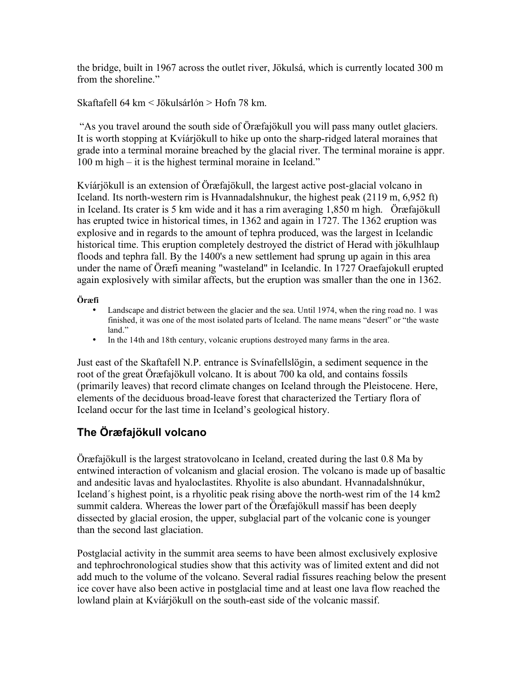the bridge, built in 1967 across the outlet river, Jökulsá, which is currently located 300 m from the shoreline."

Skaftafell 64 km < Jökulsárlón > Hofn 78 km.

"As you travel around the south side of Öræfajökull you will pass many outlet glaciers. It is worth stopping at Kvíárjökull to hike up onto the sharp-ridged lateral moraines that grade into a terminal moraine breached by the glacial river. The terminal moraine is appr. 100 m high – it is the highest terminal moraine in Iceland."

Kvíárjökull is an extension of Öræfajökull, the largest active post-glacial volcano in Iceland. Its north-western rim is Hvannadalshnukur, the highest peak (2119 m, 6,952 ft) in Iceland. Its crater is 5 km wide and it has a rim averaging 1,850 m high. Öræfajökull has erupted twice in historical times, in 1362 and again in 1727. The 1362 eruption was explosive and in regards to the amount of tephra produced, was the largest in Icelandic historical time. This eruption completely destroyed the district of Herad with jökulhlaup floods and tephra fall. By the 1400's a new settlement had sprung up again in this area under the name of Öræfi meaning "wasteland" in Icelandic. In 1727 Oraefajokull erupted again explosively with similar affects, but the eruption was smaller than the one in 1362.

## **Öræfi**

- Landscape and district between the glacier and the sea. Until 1974, when the ring road no. 1 was finished, it was one of the most isolated parts of Iceland. The name means "desert" or "the waste land."
- In the 14th and 18th century, volcanic eruptions destroyed many farms in the area.

Just east of the Skaftafell N.P. entrance is Svínafellslögin, a sediment sequence in the root of the great Öræfajökull volcano. It is about 700 ka old, and contains fossils (primarily leaves) that record climate changes on Iceland through the Pleistocene. Here, elements of the deciduous broad-leave forest that characterized the Tertiary flora of Iceland occur for the last time in Iceland's geological history.

# **The Öræfajökull volcano**

Öræfajökull is the largest stratovolcano in Iceland, created during the last 0.8 Ma by entwined interaction of volcanism and glacial erosion. The volcano is made up of basaltic and andesitic lavas and hyaloclastites. Rhyolite is also abundant. Hvannadalshnúkur, Iceland´s highest point, is a rhyolitic peak rising above the north-west rim of the 14 km2 summit caldera. Whereas the lower part of the Öræfajökull massif has been deeply dissected by glacial erosion, the upper, subglacial part of the volcanic cone is younger than the second last glaciation.

Postglacial activity in the summit area seems to have been almost exclusively explosive and tephrochronological studies show that this activity was of limited extent and did not add much to the volume of the volcano. Several radial fissures reaching below the present ice cover have also been active in postglacial time and at least one lava flow reached the lowland plain at Kvíárjökull on the south-east side of the volcanic massif.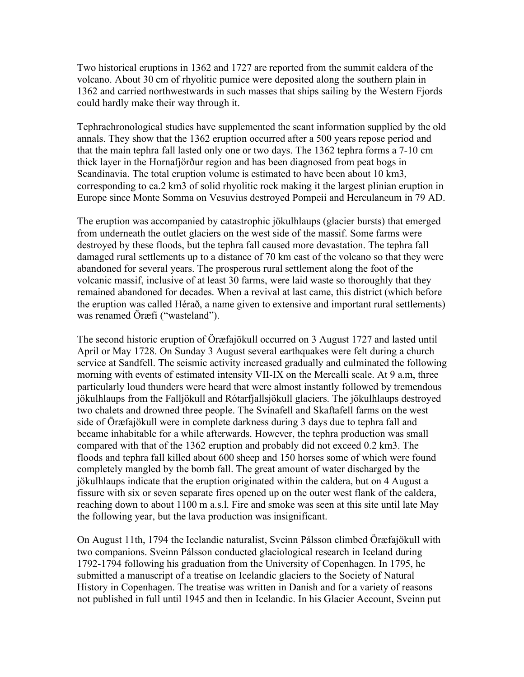Two historical eruptions in 1362 and 1727 are reported from the summit caldera of the volcano. About 30 cm of rhyolitic pumice were deposited along the southern plain in 1362 and carried northwestwards in such masses that ships sailing by the Western Fjords could hardly make their way through it.

Tephrachronological studies have supplemented the scant information supplied by the old annals. They show that the 1362 eruption occurred after a 500 years repose period and that the main tephra fall lasted only one or two days. The 1362 tephra forms a 7-10 cm thick layer in the Hornafjörður region and has been diagnosed from peat bogs in Scandinavia. The total eruption volume is estimated to have been about 10 km3, corresponding to ca.2 km3 of solid rhyolitic rock making it the largest plinian eruption in Europe since Monte Somma on Vesuvius destroyed Pompeii and Herculaneum in 79 AD.

The eruption was accompanied by catastrophic jökulhlaups (glacier bursts) that emerged from underneath the outlet glaciers on the west side of the massif. Some farms were destroyed by these floods, but the tephra fall caused more devastation. The tephra fall damaged rural settlements up to a distance of 70 km east of the volcano so that they were abandoned for several years. The prosperous rural settlement along the foot of the volcanic massif, inclusive of at least 30 farms, were laid waste so thoroughly that they remained abandoned for decades. When a revival at last came, this district (which before the eruption was called Hérað, a name given to extensive and important rural settlements) was renamed Öræfi ("wasteland").

The second historic eruption of Öræfajökull occurred on 3 August 1727 and lasted until April or May 1728. On Sunday 3 August several earthquakes were felt during a church service at Sandfell. The seismic activity increased gradually and culminated the following morning with events of estimated intensity VII-IX on the Mercalli scale. At 9 a.m, three particularly loud thunders were heard that were almost instantly followed by tremendous jökulhlaups from the Falljökull and Rótarfjallsjökull glaciers. The jökulhlaups destroyed two chalets and drowned three people. The Svínafell and Skaftafell farms on the west side of Öræfajökull were in complete darkness during 3 days due to tephra fall and became inhabitable for a while afterwards. However, the tephra production was small compared with that of the 1362 eruption and probably did not exceed 0.2 km3. The floods and tephra fall killed about 600 sheep and 150 horses some of which were found completely mangled by the bomb fall. The great amount of water discharged by the jökulhlaups indicate that the eruption originated within the caldera, but on 4 August a fissure with six or seven separate fires opened up on the outer west flank of the caldera, reaching down to about 1100 m a.s.l. Fire and smoke was seen at this site until late May the following year, but the lava production was insignificant.

On August 11th, 1794 the Icelandic naturalist, Sveinn Pálsson climbed Öræfajökull with two companions. Sveinn Pálsson conducted glaciological research in Iceland during 1792-1794 following his graduation from the University of Copenhagen. In 1795, he submitted a manuscript of a treatise on Icelandic glaciers to the Society of Natural History in Copenhagen. The treatise was written in Danish and for a variety of reasons not published in full until 1945 and then in Icelandic. In his Glacier Account, Sveinn put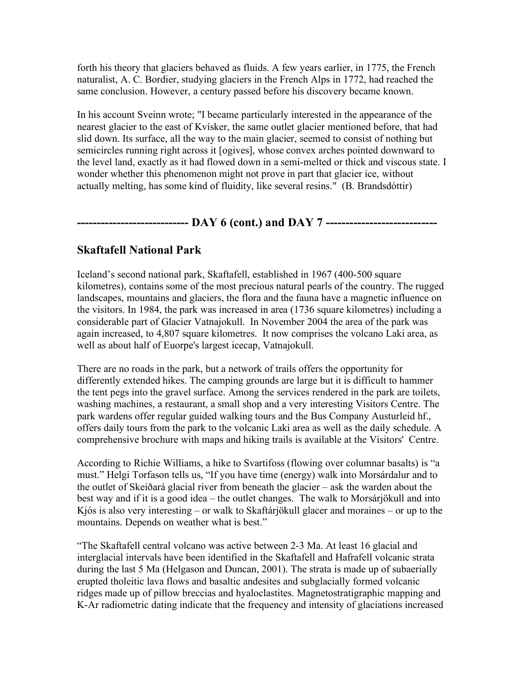forth his theory that glaciers behaved as fluids. A few years earlier, in 1775, the French naturalist, A. C. Bordier, studying glaciers in the French Alps in 1772, had reached the same conclusion. However, a century passed before his discovery became known.

In his account Sveinn wrote; "I became particularly interested in the appearance of the nearest glacier to the east of Kvísker, the same outlet glacier mentioned before, that had slid down. Its surface, all the way to the main glacier, seemed to consist of nothing but semicircles running right across it [ogives], whose convex arches pointed downward to the level land, exactly as it had flowed down in a semi-melted or thick and viscous state. I wonder whether this phenomenon might not prove in part that glacier ice, without actually melting, has some kind of fluidity, like several resins." (B. Brandsdóttir)

# **---------------------------- DAY 6 (cont.) and DAY 7 ----------------------------**

# **Skaftafell National Park**

Iceland's second national park, Skaftafell, established in 1967 (400-500 square kilometres), contains some of the most precious natural pearls of the country. The rugged landscapes, mountains and glaciers, the flora and the fauna have a magnetic influence on the visitors. In 1984, the park was increased in area (1736 square kilometres) including a considerable part of Glacier Vatnajokull. In November 2004 the area of the park was again increased, to 4,807 square kilometres. It now comprises the volcano Laki area, as well as about half of Euorpe's largest icecap, Vatnajokull.

There are no roads in the park, but a network of trails offers the opportunity for differently extended hikes. The camping grounds are large but it is difficult to hammer the tent pegs into the gravel surface. Among the services rendered in the park are toilets, washing machines, a restaurant, a small shop and a very interesting Visitors Centre. The park wardens offer regular guided walking tours and the Bus Company Austurleid hf., offers daily tours from the park to the volcanic Laki area as well as the daily schedule. A comprehensive brochure with maps and hiking trails is available at the Visitors' Centre.

According to Richie Williams, a hike to Svartifoss (flowing over columnar basalts) is "a must." Helgi Torfason tells us, "If you have time (energy) walk into Morsárdalur and to the outlet of Skeiðará glacial river from beneath the glacier – ask the warden about the best way and if it is a good idea – the outlet changes. The walk to Morsárjökull and into Kjós is also very interesting – or walk to Skaftárjökull glacer and moraines – or up to the mountains. Depends on weather what is best."

"The Skaftafell central volcano was active between 2-3 Ma. At least 16 glacial and interglacial intervals have been identified in the Skaftafell and Hafrafell volcanic strata during the last 5 Ma (Helgason and Duncan, 2001). The strata is made up of subaerially erupted tholeitic lava flows and basaltic andesites and subglacially formed volcanic ridges made up of pillow breccias and hyaloclastites. Magnetostratigraphic mapping and K-Ar radiometric dating indicate that the frequency and intensity of glaciations increased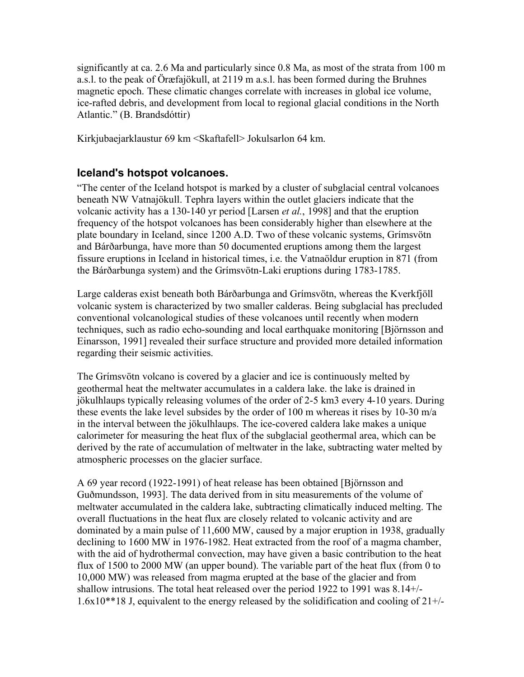significantly at ca. 2.6 Ma and particularly since 0.8 Ma, as most of the strata from 100 m a.s.l. to the peak of Öræfajökull, at 2119 m a.s.l. has been formed during the Bruhnes magnetic epoch. These climatic changes correlate with increases in global ice volume, ice-rafted debris, and development from local to regional glacial conditions in the North Atlantic." (B. Brandsdóttir)

Kirkjubaejarklaustur 69 km <Skaftafell> Jokulsarlon 64 km.

# **Iceland's hotspot volcanoes.**

"The center of the Iceland hotspot is marked by a cluster of subglacial central volcanoes beneath NW Vatnajökull. Tephra layers within the outlet glaciers indicate that the volcanic activity has a 130-140 yr period [Larsen *et al.*, 1998] and that the eruption frequency of the hotspot volcanoes has been considerably higher than elsewhere at the plate boundary in Iceland, since 1200 A.D. Two of these volcanic systems, Grímsvötn and Bárðarbunga, have more than 50 documented eruptions among them the largest fissure eruptions in Iceland in historical times, i.e. the Vatnaöldur eruption in 871 (from the Bárðarbunga system) and the Grímsvötn-Laki eruptions during 1783-1785.

Large calderas exist beneath both Bárðarbunga and Grímsvötn, whereas the Kverkfjöll volcanic system is characterized by two smaller calderas. Being subglacial has precluded conventional volcanological studies of these volcanoes until recently when modern techniques, such as radio echo-sounding and local earthquake monitoring [Björnsson and Einarsson, 1991] revealed their surface structure and provided more detailed information regarding their seismic activities.

The Grímsvötn volcano is covered by a glacier and ice is continuously melted by geothermal heat the meltwater accumulates in a caldera lake. the lake is drained in jökulhlaups typically releasing volumes of the order of 2-5 km3 every 4-10 years. During these events the lake level subsides by the order of 100 m whereas it rises by 10-30 m/a in the interval between the jökulhlaups. The ice-covered caldera lake makes a unique calorimeter for measuring the heat flux of the subglacial geothermal area, which can be derived by the rate of accumulation of meltwater in the lake, subtracting water melted by atmospheric processes on the glacier surface.

A 69 year record (1922-1991) of heat release has been obtained [Björnsson and Guðmundsson, 1993]. The data derived from in situ measurements of the volume of meltwater accumulated in the caldera lake, subtracting climatically induced melting. The overall fluctuations in the heat flux are closely related to volcanic activity and are dominated by a main pulse of 11,600 MW, caused by a major eruption in 1938, gradually declining to 1600 MW in 1976-1982. Heat extracted from the roof of a magma chamber, with the aid of hydrothermal convection, may have given a basic contribution to the heat flux of 1500 to 2000 MW (an upper bound). The variable part of the heat flux (from 0 to 10,000 MW) was released from magma erupted at the base of the glacier and from shallow intrusions. The total heat released over the period 1922 to 1991 was 8.14+/- 1.6x10\*\*18 J, equivalent to the energy released by the solidification and cooling of 21+/-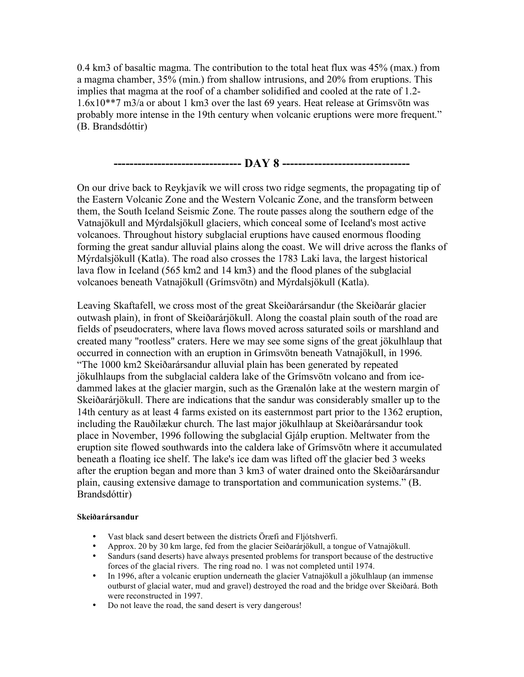0.4 km3 of basaltic magma. The contribution to the total heat flux was 45% (max.) from a magma chamber, 35% (min.) from shallow intrusions, and 20% from eruptions. This implies that magma at the roof of a chamber solidified and cooled at the rate of 1.2- 1.6x10\*\*7 m3/a or about 1 km3 over the last 69 years. Heat release at Grímsvötn was probably more intense in the 19th century when volcanic eruptions were more frequent." (B. Brandsdóttir)



On our drive back to Reykjavík we will cross two ridge segments, the propagating tip of the Eastern Volcanic Zone and the Western Volcanic Zone, and the transform between them, the South Iceland Seismic Zone. The route passes along the southern edge of the Vatnajökull and Mýrdalsjökull glaciers, which conceal some of Iceland's most active volcanoes. Throughout history subglacial eruptions have caused enormous flooding forming the great sandur alluvial plains along the coast. We will drive across the flanks of Mýrdalsjökull (Katla). The road also crosses the 1783 Laki lava, the largest historical lava flow in Iceland (565 km2 and 14 km3) and the flood planes of the subglacial volcanoes beneath Vatnajökull (Grímsvötn) and Mýrdalsjökull (Katla).

Leaving Skaftafell, we cross most of the great Skeiðarársandur (the Skeiðarár glacier outwash plain), in front of Skeiðarárjökull. Along the coastal plain south of the road are fields of pseudocraters, where lava flows moved across saturated soils or marshland and created many "rootless" craters. Here we may see some signs of the great jökulhlaup that occurred in connection with an eruption in Grímsvötn beneath Vatnajökull, in 1996. "The 1000 km2 Skeiðarársandur alluvial plain has been generated by repeated jökulhlaups from the subglacial caldera lake of the Grímsvötn volcano and from icedammed lakes at the glacier margin, such as the Grænalón lake at the western margin of Skeiðarárjökull. There are indications that the sandur was considerably smaller up to the 14th century as at least 4 farms existed on its easternmost part prior to the 1362 eruption, including the Rauðilækur church. The last major jökulhlaup at Skeiðarársandur took place in November, 1996 following the subglacial Gjálp eruption. Meltwater from the eruption site flowed southwards into the caldera lake of Grímsvötn where it accumulated beneath a floating ice shelf. The lake's ice dam was lifted off the glacier bed 3 weeks after the eruption began and more than 3 km3 of water drained onto the Skeiðarársandur plain, causing extensive damage to transportation and communication systems." (B. Brandsdóttir)

#### **Skeiðarársandur**

- Vast black sand desert between the districts Öræfi and Fljótshverfi.
- Approx. 20 by 30 km large, fed from the glacier Seiðarárjökull, a tongue of Vatnajökull.
- Sandurs (sand deserts) have always presented problems for transport because of the destructive forces of the glacial rivers. The ring road no. 1 was not completed until 1974.
- In 1996, after a volcanic eruption underneath the glacier Vatnajökull a jökulhlaup (an immense outburst of glacial water, mud and gravel) destroyed the road and the bridge over Skeiðará. Both were reconstructed in 1997.
- Do not leave the road, the sand desert is very dangerous!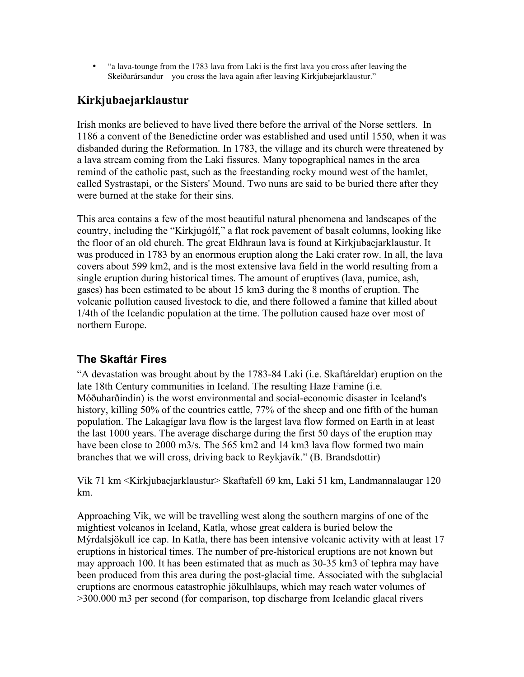• "a lava-tounge from the 1783 lava from Laki is the first lava you cross after leaving the Skeiðarársandur – you cross the lava again after leaving Kirkjubæjarklaustur."

# **Kirkjubaejarklaustur**

Irish monks are believed to have lived there before the arrival of the Norse settlers. In 1186 a convent of the Benedictine order was established and used until 1550, when it was disbanded during the Reformation. In 1783, the village and its church were threatened by a lava stream coming from the Laki fissures. Many topographical names in the area remind of the catholic past, such as the freestanding rocky mound west of the hamlet, called Systrastapi, or the Sisters' Mound. Two nuns are said to be buried there after they were burned at the stake for their sins.

This area contains a few of the most beautiful natural phenomena and landscapes of the country, including the "Kirkjugólf," a flat rock pavement of basalt columns, looking like the floor of an old church. The great Eldhraun lava is found at Kirkjubaejarklaustur. It was produced in 1783 by an enormous eruption along the Laki crater row. In all, the lava covers about 599 km2, and is the most extensive lava field in the world resulting from a single eruption during historical times. The amount of eruptives (lava, pumice, ash, gases) has been estimated to be about 15 km3 during the 8 months of eruption. The volcanic pollution caused livestock to die, and there followed a famine that killed about 1/4th of the Icelandic population at the time. The pollution caused haze over most of northern Europe.

# **The Skaftár Fires**

"A devastation was brought about by the 1783-84 Laki (i.e. Skaftáreldar) eruption on the late 18th Century communities in Iceland. The resulting Haze Famine (i.e. Móðuharðindin) is the worst environmental and social-economic disaster in Iceland's history, killing 50% of the countries cattle, 77% of the sheep and one fifth of the human population. The Lakagígar lava flow is the largest lava flow formed on Earth in at least the last 1000 years. The average discharge during the first 50 days of the eruption may have been close to 2000 m3/s. The 565 km2 and 14 km3 lava flow formed two main branches that we will cross, driving back to Reykjavík." (B. Brandsdottir)

Vik 71 km <Kirkjubaejarklaustur> Skaftafell 69 km, Laki 51 km, Landmannalaugar 120 km.

Approaching Vik, we will be travelling west along the southern margins of one of the mightiest volcanos in Iceland, Katla, whose great caldera is buried below the Mýrdalsjökull ice cap. In Katla, there has been intensive volcanic activity with at least 17 eruptions in historical times. The number of pre-historical eruptions are not known but may approach 100. It has been estimated that as much as 30-35 km3 of tephra may have been produced from this area during the post-glacial time. Associated with the subglacial eruptions are enormous catastrophic jökulhlaups, which may reach water volumes of >300.000 m3 per second (for comparison, top discharge from Icelandic glacal rivers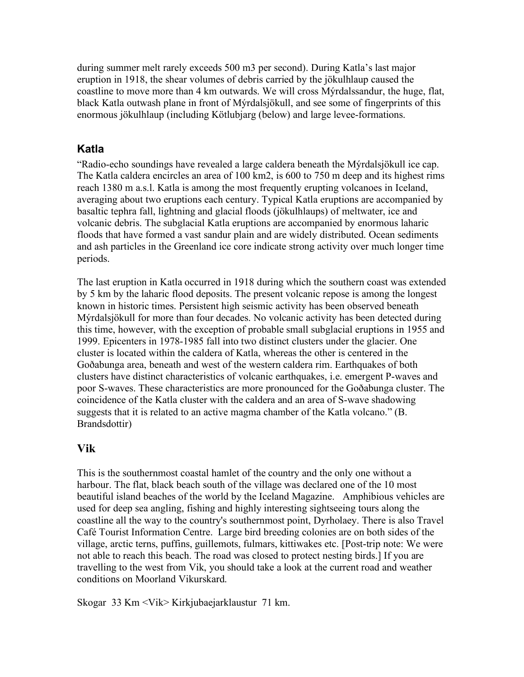during summer melt rarely exceeds 500 m3 per second). During Katla's last major eruption in 1918, the shear volumes of debris carried by the jökulhlaup caused the coastline to move more than 4 km outwards. We will cross Mýrdalssandur, the huge, flat, black Katla outwash plane in front of Mýrdalsjökull, and see some of fingerprints of this enormous jökulhlaup (including Kötlubjarg (below) and large levee-formations.

## **Katla**

"Radio-echo soundings have revealed a large caldera beneath the Mýrdalsjökull ice cap. The Katla caldera encircles an area of 100 km2, is 600 to 750 m deep and its highest rims reach 1380 m a.s.l. Katla is among the most frequently erupting volcanoes in Iceland, averaging about two eruptions each century. Typical Katla eruptions are accompanied by basaltic tephra fall, lightning and glacial floods (jökulhlaups) of meltwater, ice and volcanic debris. The subglacial Katla eruptions are accompanied by enormous laharic floods that have formed a vast sandur plain and are widely distributed. Ocean sediments and ash particles in the Greenland ice core indicate strong activity over much longer time periods.

The last eruption in Katla occurred in 1918 during which the southern coast was extended by 5 km by the laharic flood deposits. The present volcanic repose is among the longest known in historic times. Persistent high seismic activity has been observed beneath Mýrdalsjökull for more than four decades. No volcanic activity has been detected during this time, however, with the exception of probable small subglacial eruptions in 1955 and 1999. Epicenters in 1978-1985 fall into two distinct clusters under the glacier. One cluster is located within the caldera of Katla, whereas the other is centered in the Goðabunga area, beneath and west of the western caldera rim. Earthquakes of both clusters have distinct characteristics of volcanic earthquakes, i.e. emergent P-waves and poor S-waves. These characteristics are more pronounced for the Goðabunga cluster. The coincidence of the Katla cluster with the caldera and an area of S-wave shadowing suggests that it is related to an active magma chamber of the Katla volcano." (B. Brandsdottir)

## **Vik**

This is the southernmost coastal hamlet of the country and the only one without a harbour. The flat, black beach south of the village was declared one of the 10 most beautiful island beaches of the world by the Iceland Magazine. Amphibious vehicles are used for deep sea angling, fishing and highly interesting sightseeing tours along the coastline all the way to the country's southernmost point, Dyrholaey. There is also Travel Café Tourist Information Centre. Large bird breeding colonies are on both sides of the village, arctic terns, puffins, guillemots, fulmars, kittiwakes etc. [Post-trip note: We were not able to reach this beach. The road was closed to protect nesting birds.] If you are travelling to the west from Vik, you should take a look at the current road and weather conditions on Moorland Vikurskard.

Skogar 33 Km <Vik> Kirkjubaejarklaustur 71 km.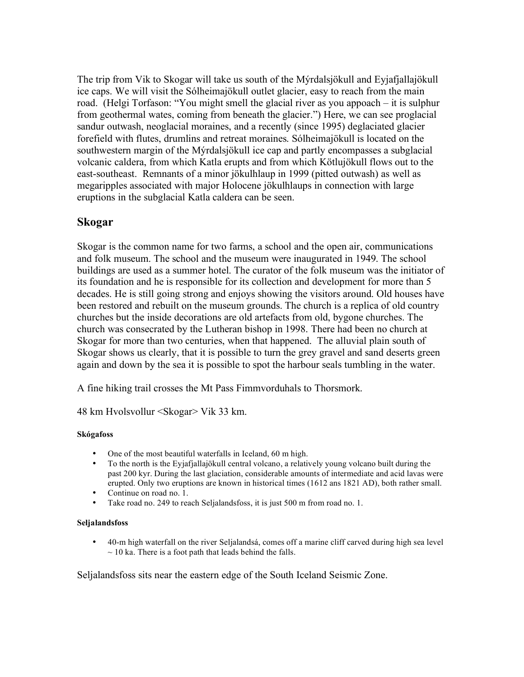The trip from Vik to Skogar will take us south of the Mýrdalsjökull and Eyjafjallajökull ice caps. We will visit the Sólheimajökull outlet glacier, easy to reach from the main road. (Helgi Torfason: "You might smell the glacial river as you appoach – it is sulphur from geothermal wates, coming from beneath the glacier.") Here, we can see proglacial sandur outwash, neoglacial moraines, and a recently (since 1995) deglaciated glacier forefield with flutes, drumlins and retreat moraines. Sólheimajökull is located on the southwestern margin of the Mýrdalsjökull ice cap and partly encompasses a subglacial volcanic caldera, from which Katla erupts and from which Kötlujökull flows out to the east-southeast. Remnants of a minor jökulhlaup in 1999 (pitted outwash) as well as megaripples associated with major Holocene jökulhlaups in connection with large eruptions in the subglacial Katla caldera can be seen.

# **Skogar**

Skogar is the common name for two farms, a school and the open air, communications and folk museum. The school and the museum were inaugurated in 1949. The school buildings are used as a summer hotel. The curator of the folk museum was the initiator of its foundation and he is responsible for its collection and development for more than 5 decades. He is still going strong and enjoys showing the visitors around. Old houses have been restored and rebuilt on the museum grounds. The church is a replica of old country churches but the inside decorations are old artefacts from old, bygone churches. The church was consecrated by the Lutheran bishop in 1998. There had been no church at Skogar for more than two centuries, when that happened. The alluvial plain south of Skogar shows us clearly, that it is possible to turn the grey gravel and sand deserts green again and down by the sea it is possible to spot the harbour seals tumbling in the water.

A fine hiking trail crosses the Mt Pass Fimmvorduhals to Thorsmork.

48 km Hvolsvollur <Skogar> Vik 33 km.

## **Skógafoss**

- One of the most beautiful waterfalls in Iceland, 60 m high.<br>• To the north is the Eviatiallaidkull central volcano a relative
- To the north is the Eyjafjallajökull central volcano, a relatively young volcano built during the past 200 kyr. During the last glaciation, considerable amounts of intermediate and acid lavas were erupted. Only two eruptions are known in historical times (1612 ans 1821 AD), both rather small.
- Continue on road no. 1.
- Take road no. 249 to reach Seljalandsfoss, it is just 500 m from road no. 1.

## **Seljalandsfoss**

• 40-m high waterfall on the river Seljalandsá, comes off a marine cliff carved during high sea level  $\sim$  10 ka. There is a foot path that leads behind the falls.

Seljalandsfoss sits near the eastern edge of the South Iceland Seismic Zone.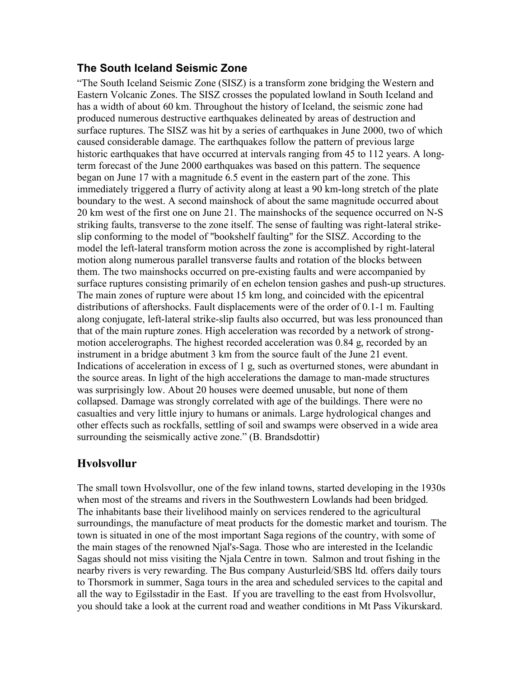# **The South Iceland Seismic Zone**

"The South Iceland Seismic Zone (SISZ) is a transform zone bridging the Western and Eastern Volcanic Zones. The SISZ crosses the populated lowland in South Iceland and has a width of about 60 km. Throughout the history of Iceland, the seismic zone had produced numerous destructive earthquakes delineated by areas of destruction and surface ruptures. The SISZ was hit by a series of earthquakes in June 2000, two of which caused considerable damage. The earthquakes follow the pattern of previous large historic earthquakes that have occurred at intervals ranging from 45 to 112 years. A longterm forecast of the June 2000 earthquakes was based on this pattern. The sequence began on June 17 with a magnitude 6.5 event in the eastern part of the zone. This immediately triggered a flurry of activity along at least a 90 km-long stretch of the plate boundary to the west. A second mainshock of about the same magnitude occurred about 20 km west of the first one on June 21. The mainshocks of the sequence occurred on N-S striking faults, transverse to the zone itself. The sense of faulting was right-lateral strikeslip conforming to the model of "bookshelf faulting" for the SISZ. According to the model the left-lateral transform motion across the zone is accomplished by right-lateral motion along numerous parallel transverse faults and rotation of the blocks between them. The two mainshocks occurred on pre-existing faults and were accompanied by surface ruptures consisting primarily of en echelon tension gashes and push-up structures. The main zones of rupture were about 15 km long, and coincided with the epicentral distributions of aftershocks. Fault displacements were of the order of 0.1-1 m. Faulting along conjugate, left-lateral strike-slip faults also occurred, but was less pronounced than that of the main rupture zones. High acceleration was recorded by a network of strongmotion accelerographs. The highest recorded acceleration was 0.84 g, recorded by an instrument in a bridge abutment 3 km from the source fault of the June 21 event. Indications of acceleration in excess of 1 g, such as overturned stones, were abundant in the source areas. In light of the high accelerations the damage to man-made structures was surprisingly low. About 20 houses were deemed unusable, but none of them collapsed. Damage was strongly correlated with age of the buildings. There were no casualties and very little injury to humans or animals. Large hydrological changes and other effects such as rockfalls, settling of soil and swamps were observed in a wide area surrounding the seismically active zone." (B. Brandsdottir)

# **Hvolsvollur**

The small town Hvolsvollur, one of the few inland towns, started developing in the 1930s when most of the streams and rivers in the Southwestern Lowlands had been bridged. The inhabitants base their livelihood mainly on services rendered to the agricultural surroundings, the manufacture of meat products for the domestic market and tourism. The town is situated in one of the most important Saga regions of the country, with some of the main stages of the renowned Njal's-Saga. Those who are interested in the Icelandic Sagas should not miss visiting the Njala Centre in town. Salmon and trout fishing in the nearby rivers is very rewarding. The Bus company Austurleid/SBS ltd. offers daily tours to Thorsmork in summer, Saga tours in the area and scheduled services to the capital and all the way to Egilsstadir in the East. If you are travelling to the east from Hvolsvollur, you should take a look at the current road and weather conditions in Mt Pass Vikurskard.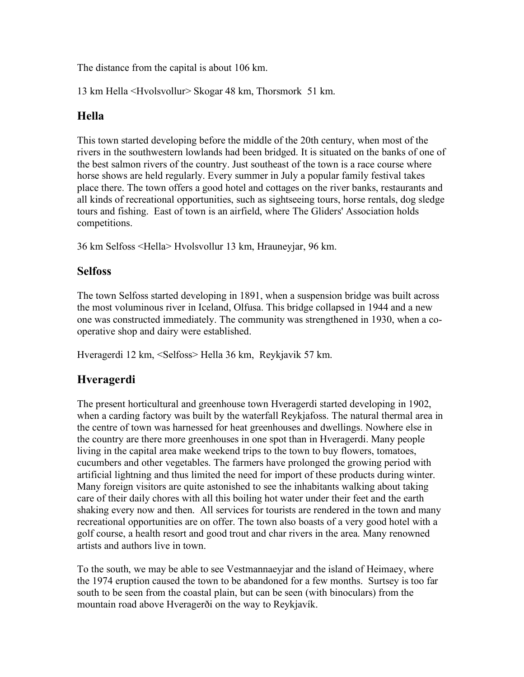The distance from the capital is about 106 km.

13 km Hella <Hvolsvollur> Skogar 48 km, Thorsmork 51 km.

# **Hella**

This town started developing before the middle of the 20th century, when most of the rivers in the southwestern lowlands had been bridged. It is situated on the banks of one of the best salmon rivers of the country. Just southeast of the town is a race course where horse shows are held regularly. Every summer in July a popular family festival takes place there. The town offers a good hotel and cottages on the river banks, restaurants and all kinds of recreational opportunities, such as sightseeing tours, horse rentals, dog sledge tours and fishing. East of town is an airfield, where The Gliders' Association holds competitions.

36 km Selfoss <Hella> Hvolsvollur 13 km, Hrauneyjar, 96 km.

# **Selfoss**

The town Selfoss started developing in 1891, when a suspension bridge was built across the most voluminous river in Iceland, Olfusa. This bridge collapsed in 1944 and a new one was constructed immediately. The community was strengthened in 1930, when a cooperative shop and dairy were established.

Hveragerdi 12 km, <Selfoss> Hella 36 km, Reykjavik 57 km.

# **Hveragerdi**

The present horticultural and greenhouse town Hveragerdi started developing in 1902, when a carding factory was built by the waterfall Reykjafoss. The natural thermal area in the centre of town was harnessed for heat greenhouses and dwellings. Nowhere else in the country are there more greenhouses in one spot than in Hveragerdi. Many people living in the capital area make weekend trips to the town to buy flowers, tomatoes, cucumbers and other vegetables. The farmers have prolonged the growing period with artificial lightning and thus limited the need for import of these products during winter. Many foreign visitors are quite astonished to see the inhabitants walking about taking care of their daily chores with all this boiling hot water under their feet and the earth shaking every now and then. All services for tourists are rendered in the town and many recreational opportunities are on offer. The town also boasts of a very good hotel with a golf course, a health resort and good trout and char rivers in the area. Many renowned artists and authors live in town.

To the south, we may be able to see Vestmannaeyjar and the island of Heimaey, where the 1974 eruption caused the town to be abandoned for a few months. Surtsey is too far south to be seen from the coastal plain, but can be seen (with binoculars) from the mountain road above Hveragerði on the way to Reykjavík.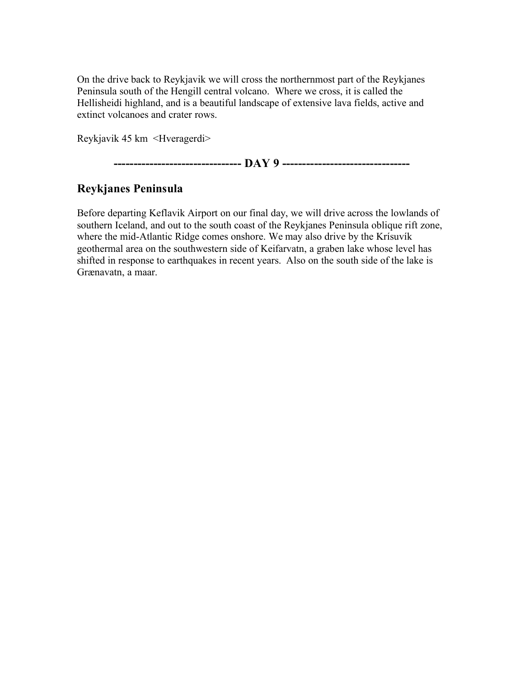On the drive back to Reykjavik we will cross the northernmost part of the Reykjanes Peninsula south of the Hengill central volcano. Where we cross, it is called the Hellisheidi highland, and is a beautiful landscape of extensive lava fields, active and extinct volcanoes and crater rows.

Reykjavik 45 km <Hveragerdi>

**-------------------------------- DAY 9 --------------------------------**

# **Reykjanes Peninsula**

Before departing Keflavik Airport on our final day, we will drive across the lowlands of southern Iceland, and out to the south coast of the Reykjanes Peninsula oblique rift zone, where the mid-Atlantic Ridge comes onshore. We may also drive by the Krísuvík geothermal area on the southwestern side of Keifarvatn, a graben lake whose level has shifted in response to earthquakes in recent years. Also on the south side of the lake is Grænavatn, a maar.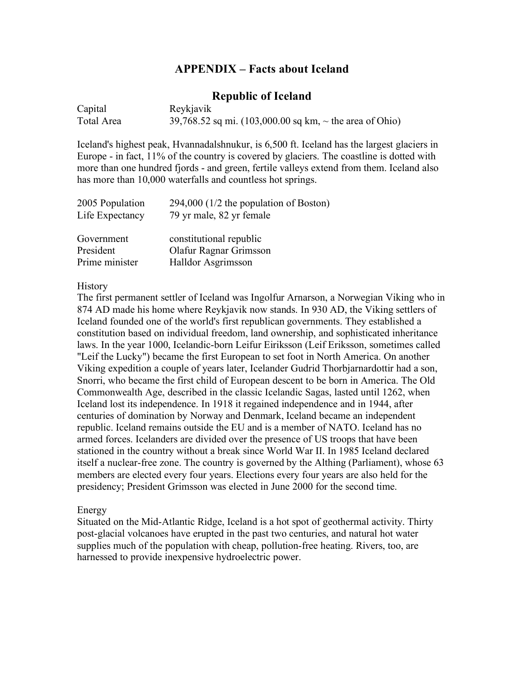## **APPENDIX – Facts about Iceland**

## **Republic of Iceland**

| Capital    | Reykjavik                                                                   |
|------------|-----------------------------------------------------------------------------|
| Total Area | 39,768.52 sq mi. $(103,000.00 \text{ sq km}, \sim \text{the area of Ohio})$ |

Iceland's highest peak, Hvannadalshnukur, is 6,500 ft. Iceland has the largest glaciers in Europe - in fact, 11% of the country is covered by glaciers. The coastline is dotted with more than one hundred fjords - and green, fertile valleys extend from them. Iceland also has more than 10,000 waterfalls and countless hot springs.

| $294,000$ (1/2 the population of Boston)<br>79 yr male, 82 yr female |
|----------------------------------------------------------------------|
| constitutional republic                                              |
| Olafur Ragnar Grimsson                                               |
| Halldor Asgrimsson                                                   |
|                                                                      |

#### History

The first permanent settler of Iceland was Ingolfur Arnarson, a Norwegian Viking who in 874 AD made his home where Reykjavik now stands. In 930 AD, the Viking settlers of Iceland founded one of the world's first republican governments. They established a constitution based on individual freedom, land ownership, and sophisticated inheritance laws. In the year 1000, Icelandic-born Leifur Eiriksson (Leif Eriksson, sometimes called "Leif the Lucky") became the first European to set foot in North America. On another Viking expedition a couple of years later, Icelander Gudrid Thorbjarnardottir had a son, Snorri, who became the first child of European descent to be born in America. The Old Commonwealth Age, described in the classic Icelandic Sagas, lasted until 1262, when Iceland lost its independence. In 1918 it regained independence and in 1944, after centuries of domination by Norway and Denmark, Iceland became an independent republic. Iceland remains outside the EU and is a member of NATO. Iceland has no armed forces. Icelanders are divided over the presence of US troops that have been stationed in the country without a break since World War II. In 1985 Iceland declared itself a nuclear-free zone. The country is governed by the Althing (Parliament), whose 63 members are elected every four years. Elections every four years are also held for the presidency; President Grimsson was elected in June 2000 for the second time.

## Energy

Situated on the Mid-Atlantic Ridge, Iceland is a hot spot of geothermal activity. Thirty post-glacial volcanoes have erupted in the past two centuries, and natural hot water supplies much of the population with cheap, pollution-free heating. Rivers, too, are harnessed to provide inexpensive hydroelectric power.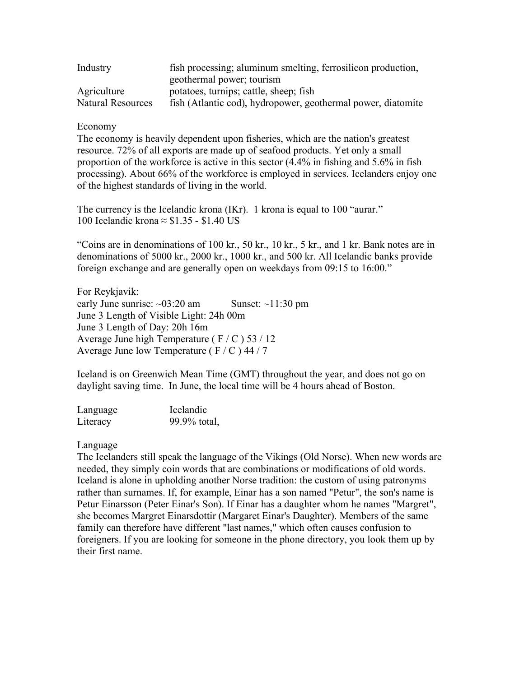| Industry                 | fish processing; aluminum smelting, ferrosilicon production, |
|--------------------------|--------------------------------------------------------------|
|                          | geothermal power; tourism                                    |
| Agriculture              | potatoes, turnips; cattle, sheep; fish                       |
| <b>Natural Resources</b> | fish (Atlantic cod), hydropower, geothermal power, diatomite |

## Economy

The economy is heavily dependent upon fisheries, which are the nation's greatest resource. 72% of all exports are made up of seafood products. Yet only a small proportion of the workforce is active in this sector (4.4% in fishing and 5.6% in fish processing). About 66% of the workforce is employed in services. Icelanders enjoy one of the highest standards of living in the world.

The currency is the Icelandic krona (IKr). 1 krona is equal to 100 "aurar." 100 Icelandic krona ≈ \$1.35 - \$1.40 US

"Coins are in denominations of 100 kr., 50 kr., 10 kr., 5 kr., and 1 kr. Bank notes are in denominations of 5000 kr., 2000 kr., 1000 kr., and 500 kr. All Icelandic banks provide foreign exchange and are generally open on weekdays from 09:15 to 16:00."

For Reykjavik: early June sunrise:  $\sim 03:20$  am Sunset:  $\sim 11:30$  pm June 3 Length of Visible Light: 24h 00m June 3 Length of Day: 20h 16m Average June high Temperature ( $F/C$ ) 53/12 Average June low Temperature ( $F / C$ ) 44 / 7

Iceland is on Greenwich Mean Time (GMT) throughout the year, and does not go on daylight saving time. In June, the local time will be 4 hours ahead of Boston.

| Language | Icelandic    |
|----------|--------------|
| Literacy | 99.9% total, |

Language

The Icelanders still speak the language of the Vikings (Old Norse). When new words are needed, they simply coin words that are combinations or modifications of old words. Iceland is alone in upholding another Norse tradition: the custom of using patronyms rather than surnames. If, for example, Einar has a son named "Petur", the son's name is Petur Einarsson (Peter Einar's Son). If Einar has a daughter whom he names "Margret", she becomes Margret Einarsdottir (Margaret Einar's Daughter). Members of the same family can therefore have different "last names," which often causes confusion to foreigners. If you are looking for someone in the phone directory, you look them up by their first name.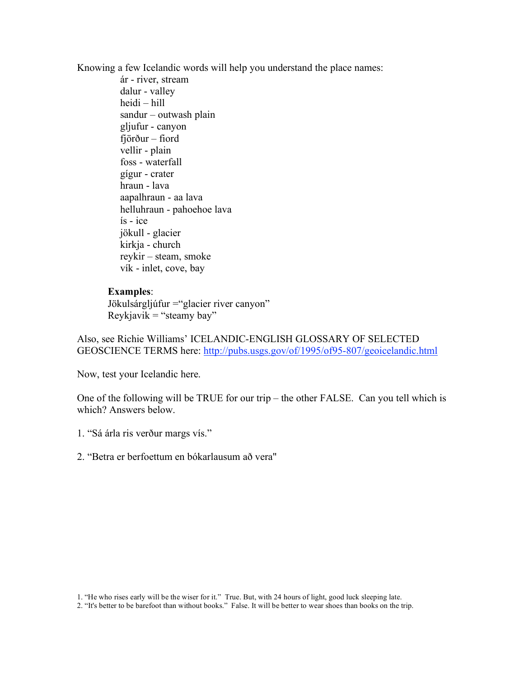Knowing a few Icelandic words will help you understand the place names:

ár - river, stream dalur - valley heidi – hill sandur – outwash plain gljufur - canyon fjörður – fiord vellir - plain foss - waterfall gígur - crater hraun - lava aapalhraun - aa lava helluhraun - pahoehoe lava ís - ice jökull - glacier kirkja - church reykir – steam, smoke vík - inlet, cove, bay

## **Examples**:

Jökulsárgljúfur = "glacier river canyon"  $Reykjavik = "steamy bay"$ 

Also, see Richie Williams' ICELANDIC-ENGLISH GLOSSARY OF SELECTED GEOSCIENCE TERMS here: http://pubs.usgs.gov/of/1995/of95-807/geoicelandic.html

Now, test your Icelandic here.

One of the following will be TRUE for our trip – the other FALSE. Can you tell which is which? Answers below.

1. "Sá árla ris verður margs vís."

2. "Betra er berfoettum en bókarlausum að vera"

2. "It's better to be barefoot than without books." False. It will be better to wear shoes than books on the trip.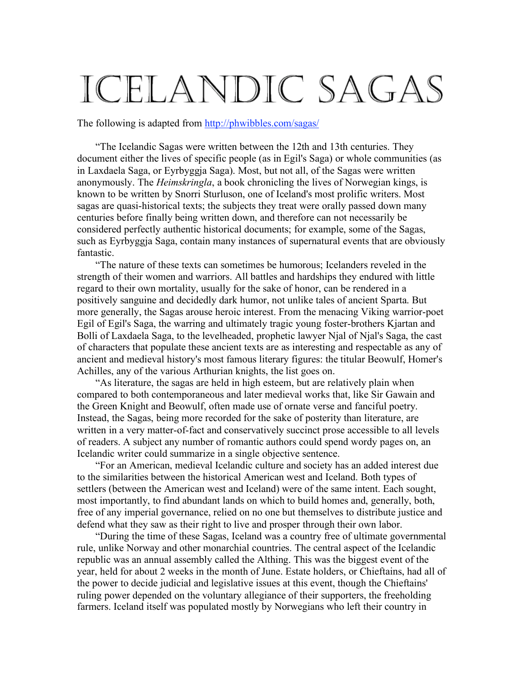# ICELANDIC SAGAS

The following is adapted from http://phwibbles.com/sagas/

"The Icelandic Sagas were written between the 12th and 13th centuries. They document either the lives of specific people (as in Egil's Saga) or whole communities (as in Laxdaela Saga, or Eyrbyggja Saga). Most, but not all, of the Sagas were written anonymously. The *Heimskringla*, a book chronicling the lives of Norwegian kings, is known to be written by Snorri Sturluson, one of Iceland's most prolific writers. Most sagas are quasi-historical texts; the subjects they treat were orally passed down many centuries before finally being written down, and therefore can not necessarily be considered perfectly authentic historical documents; for example, some of the Sagas, such as Eyrbyggja Saga, contain many instances of supernatural events that are obviously fantastic.

"The nature of these texts can sometimes be humorous; Icelanders reveled in the strength of their women and warriors. All battles and hardships they endured with little regard to their own mortality, usually for the sake of honor, can be rendered in a positively sanguine and decidedly dark humor, not unlike tales of ancient Sparta. But more generally, the Sagas arouse heroic interest. From the menacing Viking warrior-poet Egil of Egil's Saga, the warring and ultimately tragic young foster-brothers Kjartan and Bolli of Laxdaela Saga, to the levelheaded, prophetic lawyer Njal of Njal's Saga, the cast of characters that populate these ancient texts are as interesting and respectable as any of ancient and medieval history's most famous literary figures: the titular Beowulf, Homer's Achilles, any of the various Arthurian knights, the list goes on.

"As literature, the sagas are held in high esteem, but are relatively plain when compared to both contemporaneous and later medieval works that, like Sir Gawain and the Green Knight and Beowulf, often made use of ornate verse and fanciful poetry. Instead, the Sagas, being more recorded for the sake of posterity than literature, are written in a very matter-of-fact and conservatively succinct prose accessible to all levels of readers. A subject any number of romantic authors could spend wordy pages on, an Icelandic writer could summarize in a single objective sentence.

"For an American, medieval Icelandic culture and society has an added interest due to the similarities between the historical American west and Iceland. Both types of settlers (between the American west and Iceland) were of the same intent. Each sought, most importantly, to find abundant lands on which to build homes and, generally, both, free of any imperial governance, relied on no one but themselves to distribute justice and defend what they saw as their right to live and prosper through their own labor.

"During the time of these Sagas, Iceland was a country free of ultimate governmental rule, unlike Norway and other monarchial countries. The central aspect of the Icelandic republic was an annual assembly called the Althing. This was the biggest event of the year, held for about 2 weeks in the month of June. Estate holders, or Chieftains, had all of the power to decide judicial and legislative issues at this event, though the Chieftains' ruling power depended on the voluntary allegiance of their supporters, the freeholding farmers. Iceland itself was populated mostly by Norwegians who left their country in